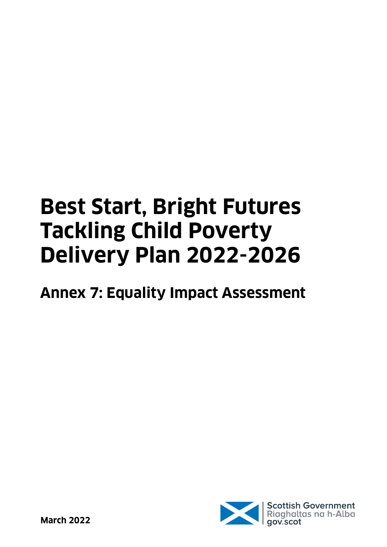# **Best Start, Bright Futures Tackling Child Poverty Delivery Plan 2022-2026**

## **Annex 7: Equality Impact Assessment**

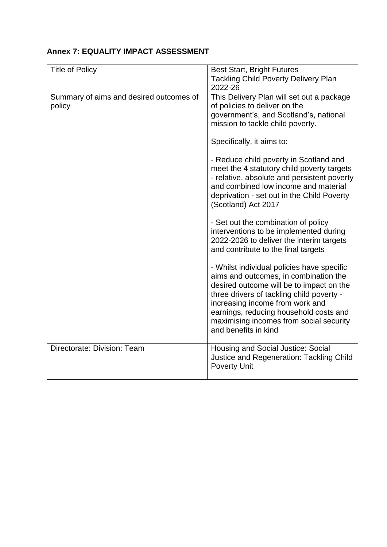#### **Annex 7: EQUALITY IMPACT ASSESSMENT**

| <b>Title of Policy</b>                            | <b>Best Start, Bright Futures</b><br><b>Tackling Child Poverty Delivery Plan</b><br>2022-26                                                                                                                                                                                                                                                                                                                        |
|---------------------------------------------------|--------------------------------------------------------------------------------------------------------------------------------------------------------------------------------------------------------------------------------------------------------------------------------------------------------------------------------------------------------------------------------------------------------------------|
| Summary of aims and desired outcomes of<br>policy | This Delivery Plan will set out a package<br>of policies to deliver on the<br>government's, and Scotland's, national<br>mission to tackle child poverty.<br>Specifically, it aims to:<br>- Reduce child poverty in Scotland and<br>meet the 4 statutory child poverty targets<br>- relative, absolute and persistent poverty<br>and combined low income and material<br>deprivation - set out in the Child Poverty |
|                                                   | (Scotland) Act 2017<br>- Set out the combination of policy<br>interventions to be implemented during<br>2022-2026 to deliver the interim targets<br>and contribute to the final targets                                                                                                                                                                                                                            |
|                                                   | - Whilst individual policies have specific<br>aims and outcomes, in combination the<br>desired outcome will be to impact on the<br>three drivers of tackling child poverty -<br>increasing income from work and<br>earnings, reducing household costs and<br>maximising incomes from social security<br>and benefits in kind                                                                                       |
| Directorate: Division: Team                       | Housing and Social Justice: Social<br>Justice and Regeneration: Tackling Child<br><b>Poverty Unit</b>                                                                                                                                                                                                                                                                                                              |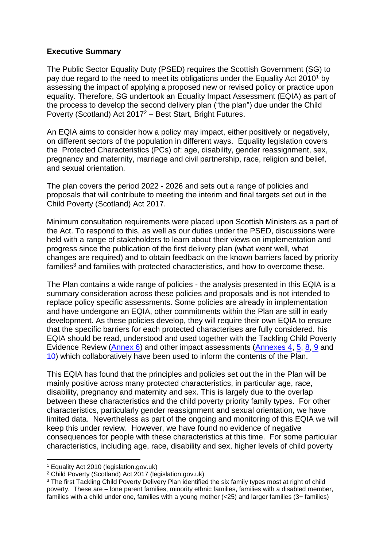#### **Executive Summary**

The Public Sector Equality Duty (PSED) requires the Scottish Government (SG) to pay due regard to the need to meet its obligations under the Equality Act 2010<sup>1</sup> by assessing the impact of applying a proposed new or revised policy or practice upon equality. Therefore, SG undertook an Equality Impact Assessment (EQIA) as part of the process to develop the second delivery plan ("the plan") due under the Child Poverty (Scotland) Act  $2017^2$  – Best Start, Bright Futures.

An EQIA aims to consider how a policy may impact, either positively or negatively, on different sectors of the population in different ways. Equality legislation covers the Protected Characteristics (PCs) of: age, disability, gender reassignment, sex, pregnancy and maternity, marriage and civil partnership, race, religion and belief, and sexual orientation.

The plan covers the period 2022 - 2026 and sets out a range of policies and proposals that will contribute to meeting the interim and final targets set out in the Child Poverty (Scotland) Act 2017.

Minimum consultation requirements were placed upon Scottish Ministers as a part of the Act. To respond to this, as well as our duties under the PSED, discussions were held with a range of stakeholders to learn about their views on implementation and progress since the publication of the first delivery plan (what went well, what changes are required) and to obtain feedback on the known barriers faced by priority  $f$ amilies<sup>3</sup> and families with protected characteristics, and how to overcome these.

The Plan contains a wide range of policies - the analysis presented in this EQIA is a summary consideration across these policies and proposals and is not intended to replace policy specific assessments. Some policies are already in implementation and have undergone an EQIA, other commitments within the Plan are still in early development. As these policies develop, they will require their own EQIA to ensure that the specific barriers for each protected characterises are fully considered. his EQIA should be read, understood and used together with the Tackling Child Poverty Evidence Review [\(Annex 6\)](https://www.gov.scot/isbn/9781804352656) and other impact assessments [\(Annexes 4,](https://www.gov.scot/isbn/9781804352632) [5,](https://www.gov.scot/isbn/9781804352649) [8,](https://www.gov.scot/isbn/9781804352670) [9](https://www.gov.scot/isbn/9781804352687) and [10\)](https://www.gov.scot/isbn/9781804352694) which collaboratively have been used to inform the contents of the Plan.

This EQIA has found that the principles and policies set out the in the Plan will be mainly positive across many protected characteristics, in particular age, race, disability, pregnancy and maternity and sex. This is largely due to the overlap between these characteristics and the child poverty priority family types. For other characteristics, particularly gender reassignment and sexual orientation, we have limited data. Nevertheless as part of the ongoing and monitoring of this EQIA we will keep this under review. However, we have found no evidence of negative consequences for people with these characteristics at this time. For some particular characteristics, including age, race, disability and sex, higher levels of child poverty

<sup>1</sup> Equality [Act 2010 \(legislation.gov.uk\)](https://www.legislation.gov.uk/ukpga/2010/15/contents/enacted)

<sup>2</sup> [Child Poverty \(Scotland\) Act 2017 \(legislation.gov.uk\)](https://www.legislation.gov.uk/asp/2017/6/contents/enacted)

<sup>&</sup>lt;sup>3</sup> The first Tackling Child Poverty Delivery Plan identified the six family types most at right of child poverty. These are – lone parent families, minority ethnic families, families with a disabled member, families with a child under one, families with a young mother (<25) and larger families (3+ families)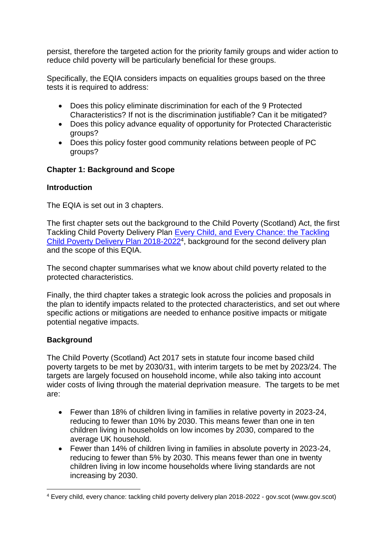persist, therefore the targeted action for the priority family groups and wider action to reduce child poverty will be particularly beneficial for these groups.

Specifically, the EQIA considers impacts on equalities groups based on the three tests it is required to address:

- Does this policy eliminate discrimination for each of the 9 Protected Characteristics? If not is the discrimination justifiable? Can it be mitigated?
- Does this policy advance equality of opportunity for Protected Characteristic groups?
- Does this policy foster good community relations between people of PC groups?

#### **Chapter 1: Background and Scope**

#### **Introduction**

The EQIA is set out in 3 chapters.

The first chapter sets out the background to the Child Poverty (Scotland) Act, the first Tackling Child Poverty Delivery Plan [Every Child, and Every](https://www.gov.scot/publications/child-chance-tackling-child-poverty-delivery-plan-2018-22/) Chance: the Tackling [Child Poverty Delivery Plan 2018-2022](https://www.gov.scot/publications/child-chance-tackling-child-poverty-delivery-plan-2018-22/)<sup>4</sup>, background for the second delivery plan and the scope of this EQIA.

The second chapter summarises what we know about child poverty related to the protected characteristics.

Finally, the third chapter takes a strategic look across the policies and proposals in the plan to identify impacts related to the protected characteristics, and set out where specific actions or mitigations are needed to enhance positive impacts or mitigate potential negative impacts.

#### **Background**

The Child Poverty (Scotland) Act 2017 sets in statute four income based child poverty targets to be met by 2030/31, with interim targets to be met by 2023/24. The targets are largely focused on household income, while also taking into account wider costs of living through the material deprivation measure. The targets to be met are:

- Fewer than 18% of children living in families in relative poverty in 2023-24, reducing to fewer than 10% by 2030. This means fewer than one in ten children living in households on low incomes by 2030, compared to the average UK household.
- Fewer than 14% of children living in families in absolute poverty in 2023-24, reducing to fewer than 5% by 2030. This means fewer than one in twenty children living in low income households where living standards are not increasing by 2030.

<sup>1</sup> <sup>4</sup> [Every child, every chance: tackling child poverty delivery plan 2018-2022 -](https://www.gov.scot/publications/child-chance-tackling-child-poverty-delivery-plan-2018-22/) gov.scot (www.gov.scot)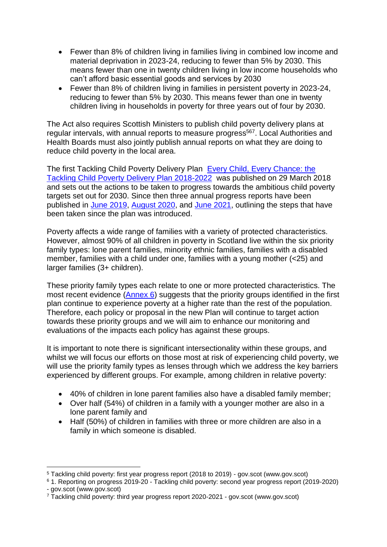- Fewer than 8% of children living in families living in combined low income and material deprivation in 2023-24, reducing to fewer than 5% by 2030. This means fewer than one in twenty children living in low income households who can't afford basic essential goods and services by 2030
- Fewer than 8% of children living in families in persistent poverty in 2023-24, reducing to fewer than 5% by 2030. This means fewer than one in twenty children living in households in poverty for three years out of four by 2030.

The Act also requires Scottish Ministers to publish child poverty delivery plans at regular intervals, with annual reports to measure progress<sup>567</sup>. Local Authorities and Health Boards must also jointly publish annual reports on what they are doing to reduce child poverty in the local area.

The first Tackling Child Poverty Delivery Plan [Every Child, Every Chance: the](https://www.gov.scot/publications/child-chance-tackling-child-poverty-delivery-plan-2018-22/)  [Tackling Child Poverty Delivery Plan 2018-2022](https://www.gov.scot/publications/child-chance-tackling-child-poverty-delivery-plan-2018-22/) was published on 29 March 2018 and sets out the actions to be taken to progress towards the ambitious child poverty targets set out for 2030. Since then three annual progress reports have been published in [June 2019,](Tackling%20child%20poverty:%20first%20year%20progress%20report%20(2018%20to%202019)%20-%20gov.scot%20(www.gov.scot)) [August 2020,](1.%20Reporting%20on%20progress%202019-20%20-%20Tackling%20child%20poverty:%20second%20year%20progress%20report%20(2019-2020)%20-%20gov.scot%20(www.gov.scot)) and [June 2021,](Tackling%20child%20poverty:%20third%20year%20progress%20report%202020-2021%20-%20gov.scot%20(www.gov.scot)) outlining the steps that have been taken since the plan was introduced.

Poverty affects a wide range of families with a variety of protected characteristics. However, almost 90% of all children in poverty in Scotland live within the six priority family types: lone parent families, minority ethnic families, families with a disabled member, families with a child under one, families with a young mother (<25) and larger families (3+ children).

These priority family types each relate to one or more protected characteristics. The most recent evidence [\(Annex 6\)](https://www.gov.scot/isbn/9781804352656) suggests that the priority groups identified in the first plan continue to experience poverty at a higher rate than the rest of the population. Therefore, each policy or proposal in the new Plan will continue to target action towards these priority groups and we will aim to enhance our monitoring and evaluations of the impacts each policy has against these groups.

It is important to note there is significant intersectionality within these groups, and whilst we will focus our efforts on those most at risk of experiencing child poverty, we will use the priority family types as lenses through which we address the key barriers experienced by different groups. For example, among children in relative poverty:

- 40% of children in lone parent families also have a disabled family member;
- Over half (54%) of children in a family with a younger mother are also in a lone parent family and
- Half (50%) of children in families with three or more children are also in a family in which someone is disabled.

<sup>1</sup> <sup>5</sup> [Tackling child poverty: first year progress report \(2018 to 2019\) -](https://www.gov.scot/publications/tackling-child-poverty-delivery-plan-first-year-progress-report-2018-19/) gov.scot (www.gov.scot)

<sup>6</sup> 1. Reporting on progress 2019-20 - [Tackling child poverty: second year progress report \(2019-2020\)](https://www.gov.scot/publications/tackling-child-poverty-delivery-plan-second-year-progress-report-2019-20/pages/4/)  - [gov.scot \(www.gov.scot\)](https://www.gov.scot/publications/tackling-child-poverty-delivery-plan-second-year-progress-report-2019-20/pages/4/)

<sup>7</sup> Tackling [child poverty: third year progress report 2020-2021 -](https://www.gov.scot/publications/tackling-child-poverty-third-year-progress-report-2020-2021/) gov.scot (www.gov.scot)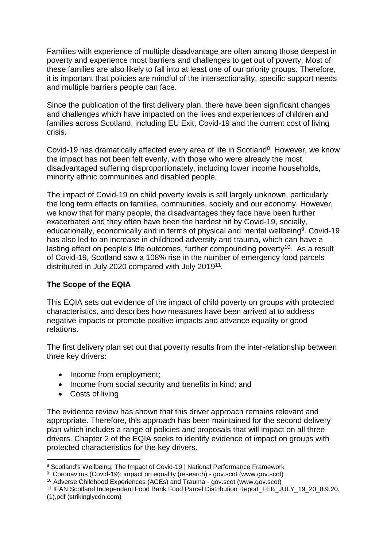Families with experience of multiple disadvantage are often among those deepest in poverty and experience most barriers and challenges to get out of poverty. Most of these families are also likely to fall into at least one of our priority groups. Therefore, it is important that policies are mindful of the intersectionality, specific support needs and multiple barriers people can face.

Since the publication of the first delivery plan, there have been significant changes and challenges which have impacted on the lives and experiences of children and families across Scotland, including EU Exit, Covid-19 and the current cost of living crisis.

Covid-19 has dramatically affected every area of life in Scotland<sup>8</sup>. However, we know the impact has not been felt evenly, with those who were already the most disadvantaged suffering disproportionately, including lower income households, minority ethnic communities and disabled people.

The impact of Covid-19 on child poverty levels is still largely unknown, particularly the long term effects on families, communities, society and our economy. However, we know that for many people, the disadvantages they face have been further exacerbated and they often have been the hardest hit by Covid-19, socially, educationally, economically and in terms of physical and mental wellbeing<sup>9</sup>. Covid-19 has also led to an increase in childhood adversity and trauma, which can have a lasting effect on people's life outcomes, further compounding poverty<sup>10</sup>. As a result of Covid-19, Scotland saw a 108% rise in the number of emergency food parcels distributed in July 2020 compared with July 2019<sup>11</sup>.

#### **The Scope of the EQIA**

This EQIA sets out evidence of the impact of child poverty on groups with protected characteristics, and describes how measures have been arrived at to address negative impacts or promote positive impacts and advance equality or good relations.

The first delivery plan set out that poverty results from the inter-relationship between three key drivers:

- Income from employment;
- Income from social security and benefits in kind; and
- Costs of living

1

The evidence review has shown that this driver approach remains relevant and appropriate. Therefore, this approach has been maintained for the second delivery plan which includes a range of policies and proposals that will impact on all three drivers. Chapter 2 of the EQIA seeks to identify evidence of impact on groups with protected characteristics for the key drivers.

<sup>8</sup> [Scotland's Wellbeing: The Impact of Covid-19 | National Performance Framework](https://nationalperformance.gov.scot/scotlands-wellbeing-impact-covid-19)

<sup>&</sup>lt;sup>9</sup> Coronavirus (Covid-19): impact on equality (research) - gov.scot (www.gov.scot)

<sup>10</sup> [Adverse Childhood Experiences \(ACEs\) and Trauma -](https://www.gov.scot/publications/adverse-childhood-experiences-aces/) gov.scot (www.gov.scot)

<sup>11</sup> [IFAN Scotland Independent Food Bank Food Parcel Distribution Report\\_FEB\\_JULY\\_19\\_20\\_8.9.20.](https://uploads.strikinglycdn.com/files/f9eedd5a-0657-417e-b368-1911790c18d8/IFAN%20Scotland%20Independent%20Food%20Bank%20Food%20Parcel%20Distribution%20Report_FEB_JULY_19_20_8.9.20.%20(1).pdf?id=252835)  [\(1\).pdf \(strikinglycdn.com\)](https://uploads.strikinglycdn.com/files/f9eedd5a-0657-417e-b368-1911790c18d8/IFAN%20Scotland%20Independent%20Food%20Bank%20Food%20Parcel%20Distribution%20Report_FEB_JULY_19_20_8.9.20.%20(1).pdf?id=252835)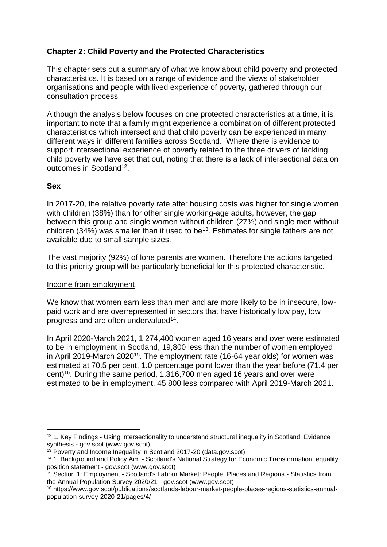#### **Chapter 2: Child Poverty and the Protected Characteristics**

This chapter sets out a summary of what we know about child poverty and protected characteristics. It is based on a range of evidence and the views of stakeholder organisations and people with lived experience of poverty, gathered through our consultation process.

Although the analysis below focuses on one protected characteristics at a time, it is important to note that a family might experience a combination of different protected characteristics which intersect and that child poverty can be experienced in many different ways in different families across Scotland. Where there is evidence to support intersectional experience of poverty related to the three drivers of tackling child poverty we have set that out, noting that there is a lack of intersectional data on outcomes in Scotland<sup>12</sup>.

#### **Sex**

In 2017-20, the relative poverty rate after housing costs was higher for single women with children (38%) than for other single working-age adults, however, the gap between this group and single women without children (27%) and single men without children (34%) was smaller than it used to be<sup>13</sup>. Estimates for single fathers are not available due to small sample sizes.

The vast majority (92%) of lone parents are women. Therefore the actions targeted to this priority group will be particularly beneficial for this protected characteristic.

#### Income from employment

We know that women earn less than men and are more likely to be in insecure, lowpaid work and are overrepresented in sectors that have historically low pay, low progress and are often undervalued<sup>14</sup>.

In April 2020-March 2021, 1,274,400 women aged 16 years and over were estimated to be in employment in Scotland, 19,800 less than the number of women employed in April 2019-March 2020<sup>15</sup>. The employment rate (16-64 year olds) for women was estimated at 70.5 per cent, 1.0 percentage point lower than the year before (71.4 per cent) 16 . During the same period, 1,316,700 men aged 16 years and over were estimated to be in employment, 45,800 less compared with April 2019-March 2021.

<sup>1</sup> <sup>12</sup> 1. Key Findings - Using intersectionality to understand structural inequality in Scotland: Evidence synthesis - [gov.scot \(www.gov.scot\).](https://www.gov.scot/publications/using-intersectionality-understand-structural-inequality-scotland-evidence-synthesis/pages/1/)

<sup>&</sup>lt;sup>13</sup> [Poverty and Income Inequality in Scotland 2017-20 \(data.gov.scot\)](https://data.gov.scot/poverty/#Gender)

<sup>14</sup> 1. Background and Policy Aim - [Scotland's National Strategy for Economic Transformation: equality](https://www.gov.scot/publications/scotlands-national-strategy-economic-transformation-equality-position-statement/pages/1/)  position statement - [gov.scot \(www.gov.scot\)](https://www.gov.scot/publications/scotlands-national-strategy-economic-transformation-equality-position-statement/pages/1/)

<sup>15</sup> Section 1: Employment - [Scotland's Labour Market: People, Places and Regions -](https://www.gov.scot/publications/scotlands-labour-market-people-places-regions-statistics-annual-population-survey-2020-21/pages/4/) Statistics from [the Annual Population Survey 2020/21 -](https://www.gov.scot/publications/scotlands-labour-market-people-places-regions-statistics-annual-population-survey-2020-21/pages/4/) gov.scot (www.gov.scot)

<sup>16</sup> https://www.gov.scot/publications/scotlands-labour-market-people-places-regions-statistics-annualpopulation-survey-2020-21/pages/4/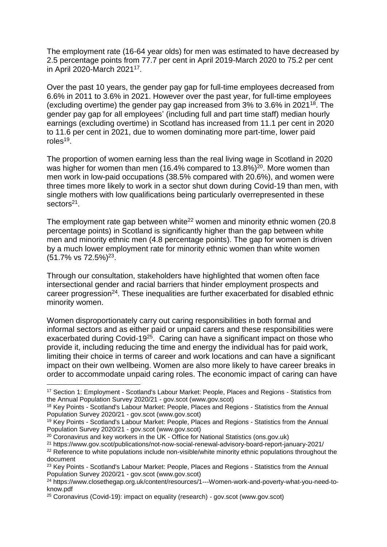The employment rate (16-64 year olds) for men was estimated to have decreased by 2.5 percentage points from 77.7 per cent in April 2019-March 2020 to 75.2 per cent in April 2020-March 2021<sup>17</sup> .

Over the past 10 years, the gender pay gap for full-time employees decreased from 6.6% in 2011 to 3.6% in 2021. However over the past year, for full-time employees (excluding overtime) the gender pay gap increased from 3% to 3.6% in 2021<sup>18</sup>. The gender pay gap for all employees' (including full and part time staff) median hourly earnings (excluding overtime) in Scotland has increased from 11.1 per cent in 2020 to 11.6 per cent in 2021, due to women dominating more part-time, lower paid roles<sup>19</sup>.

The proportion of women earning less than the real living wage in Scotland in 2020 was higher for women than men (16.4% compared to  $13.8\%$ )<sup>20</sup>. More women than men work in low-paid occupations (38.5% compared with 20.6%), and women were three times more likely to work in a sector shut down during Covid-19 than men, with single mothers with low qualifications being particularly overrepresented in these sectors<sup>21</sup>.

The employment rate gap between white<sup>22</sup> women and minority ethnic women  $(20.8)$ percentage points) in Scotland is significantly higher than the gap between white men and minority ethnic men (4.8 percentage points). The gap for women is driven by a much lower employment rate for minority ethnic women than white women  $(51.7\% \text{ vs } 72.5\%)^{23}$ .

Through our consultation, stakeholders have highlighted that women often face intersectional gender and racial barriers that hinder employment prospects and career progression<sup>24</sup>. These inequalities are further exacerbated for disabled ethnic minority women.

Women disproportionately carry out caring responsibilities in both formal and informal sectors and as either paid or unpaid carers and these responsibilities were exacerbated during Covid-19<sup>25</sup>. Caring can have a significant impact on those who provide it, including reducing the time and energy the individual has for paid work, limiting their choice in terms of career and work locations and can have a significant impact on their own wellbeing. Women are also more likely to have career breaks in order to accommodate unpaid caring roles. The economic impact of caring can have

<sup>17</sup> Section 1: Employment - [Scotland's Labour Market: People, Places and Regions -](https://www.gov.scot/publications/scotlands-labour-market-people-places-regions-statistics-annual-population-survey-2020-21/pages/4/) Statistics from [the Annual Population Survey 2020/21 -](https://www.gov.scot/publications/scotlands-labour-market-people-places-regions-statistics-annual-population-survey-2020-21/pages/4/) gov.scot (www.gov.scot)

<sup>18</sup> Key Points - [Scotland's Labour Market: People, Places and Regions -](https://www.gov.scot/publications/scotlands-labour-market-people-places-regions-statistics-annual-population-survey-2020-21/pages/1/) Statistics from the Annual [Population Survey 2020/21 -](https://www.gov.scot/publications/scotlands-labour-market-people-places-regions-statistics-annual-population-survey-2020-21/pages/1/) gov.scot (www.gov.scot)

<sup>19</sup> Key Points - [Scotland's Labour Market: People, Places and Regions -](https://www.gov.scot/publications/scotlands-labour-market-people-places-regions-statistics-annual-population-survey-2020-21/pages/1/) Statistics from the Annual [Population Survey 2020/21 -](https://www.gov.scot/publications/scotlands-labour-market-people-places-regions-statistics-annual-population-survey-2020-21/pages/1/) gov.scot (www.gov.scot)

<sup>&</sup>lt;sup>20</sup> Coronavirus and key workers in the UK - [Office for National Statistics \(ons.gov.uk\)](https://www.ons.gov.uk/employmentandlabourmarket/peopleinwork/earningsandworkinghours/articles/coronavirusandkeyworkersintheuk/2020-05-15)

<sup>21</sup> https://www.gov.scot/publications/not-now-social-renewal-advisory-board-report-january-2021/

<sup>&</sup>lt;sup>22</sup> Reference to white populations include non-visible/white minority ethnic populations throughout the document

<sup>&</sup>lt;sup>23</sup> Kev Points - [Scotland's Labour Market: People, Places and Regions -](https://www.gov.scot/publications/scotlands-labour-market-people-places-regions-statistics-annual-population-survey-2020-21/pages/1/) Statistics from the Annual [Population Survey 2020/21 -](https://www.gov.scot/publications/scotlands-labour-market-people-places-regions-statistics-annual-population-survey-2020-21/pages/1/) gov.scot (www.gov.scot)

<sup>24</sup> [https://www.closethegap.org.uk/content/resources/1---Women-work-and-poverty-what-you-need-to](https://www.closethegap.org.uk/content/resources/1---Women-work-and-poverty-what-you-need-to-know.pdf)[know.pdf](https://www.closethegap.org.uk/content/resources/1---Women-work-and-poverty-what-you-need-to-know.pdf)

<sup>25</sup> [Coronavirus \(Covid-19\): impact on equality \(research\) -](https://www.gov.scot/publications/the-impacts-of-covid-19-on-equality-in-scotland/) gov.scot (www.gov.scot)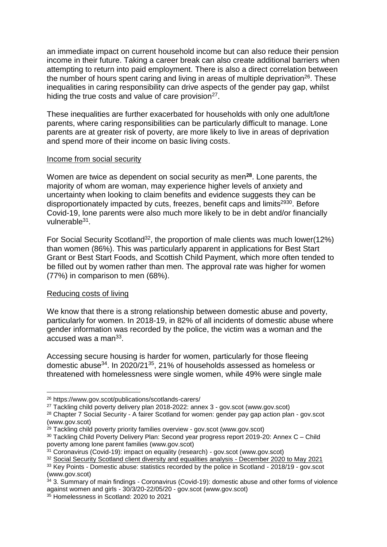an immediate impact on current household income but can also reduce their pension income in their future. Taking a career break can also create additional barriers when attempting to return into paid employment. There is also a direct correlation between the number of hours spent caring and living in areas of multiple deprivation $26$ . These inequalities in caring responsibility can drive aspects of the gender pay gap, whilst hiding the true costs and value of care provision<sup>27</sup>.

These inequalities are further exacerbated for households with only one adult/lone parents, where caring responsibilities can be particularly difficult to manage. Lone parents are at greater risk of poverty, are more likely to live in areas of deprivation and spend more of their income on basic living costs.

#### Income from social security

Women are twice as dependent on social security as men**<sup>28</sup>** . Lone parents, the majority of whom are woman, may experience higher levels of anxiety and uncertainty when looking to claim benefits and evidence suggests they can be disproportionately impacted by cuts, freezes, benefit caps and limits<sup>2930</sup>. Before Covid-19, lone parents were also much more likely to be in debt and/or financially vulnerable<sup>31</sup>.

For Social Security Scotland<sup>32</sup>, the proportion of male clients was much lower(12%) than women (86%). This was particularly apparent in applications for Best Start Grant or Best Start Foods, and Scottish Child Payment, which more often tended to be filled out by women rather than men. The approval rate was higher for women (77%) in comparison to men (68%).

#### Reducing costs of living

1

We know that there is a strong relationship between domestic abuse and poverty, particularly for women. In 2018-19, in 82% of all incidents of domestic abuse where gender information was recorded by the police, the victim was a woman and the accused was a man<sup>33</sup>.

Accessing secure housing is harder for women, particularly for those fleeing domestic abuse<sup>34</sup>. In 2020/21<sup>35</sup>, 21% of households assessed as homeless or threatened with homelessness were single women, while 49% were single male

<sup>26</sup> <https://www.gov.scot/publications/scotlands-carers/>

<sup>27</sup> [Tackling child poverty delivery plan 2018-2022: annex 3 -](https://www.gov.scot/publications/tackling-child-poverty-delivery-plan-2018-22-annex-3-equality/) gov.scot (www.gov.scot)

<sup>&</sup>lt;sup>28</sup> Chapter 7 Social Security - [A fairer Scotland for women: gender pay gap action plan -](https://www.gov.scot/publications/fairer-scotland-women-gender-pay-gap-action-plan/pages/10/) gov.scot [\(www.gov.scot\)](https://www.gov.scot/publications/fairer-scotland-women-gender-pay-gap-action-plan/pages/10/)

 $29$  [Tackling child poverty priority families overview -](https://www.gov.scot/publications/tackling-child-poverty-priority-families-overview/) gov.scot (www.gov.scot)

<sup>&</sup>lt;sup>30</sup> [Tackling Child Poverty Delivery Plan: Second year progress report 2019-20: Annex C –](https://www.gov.scot/binaries/content/documents/govscot/publications/research-and-analysis/2020/08/tackling-child-poverty-delivery-plan-second-year-progress-report-2019-20-annex-c-child-poverty-lone-parent-families/documents/tackling-child-poverty-delivery-plan-second-year-progress-report-2019-20-annex-c-child-poverty-lone-parent-families/tackling-child-poverty-delivery-plan-second-year-progress-report-2019-20-annex-c-child-poverty-lone-parent-families/govscot%3Adocument/tackling-child-poverty-delivery-plan-second-year-progress-report-2019-20-annex-c-child-poverty-lone-parent-families.pdf) Child [poverty among lone parent families \(www.gov.scot\)](https://www.gov.scot/binaries/content/documents/govscot/publications/research-and-analysis/2020/08/tackling-child-poverty-delivery-plan-second-year-progress-report-2019-20-annex-c-child-poverty-lone-parent-families/documents/tackling-child-poverty-delivery-plan-second-year-progress-report-2019-20-annex-c-child-poverty-lone-parent-families/tackling-child-poverty-delivery-plan-second-year-progress-report-2019-20-annex-c-child-poverty-lone-parent-families/govscot%3Adocument/tackling-child-poverty-delivery-plan-second-year-progress-report-2019-20-annex-c-child-poverty-lone-parent-families.pdf)

<sup>&</sup>lt;sup>31</sup> [Coronavirus \(Covid-19\): impact on equality \(research\) -](https://www.gov.scot/publications/the-impacts-of-covid-19-on-equality-in-scotland/) gov.scot (www.gov.scot)

<sup>&</sup>lt;sup>32</sup> [Social Security Scotland client diversity and equalities analysis -](https://www.gov.scot/publications/social-security-scotland-client-diversity-and-equalities-analysis-to-may-2021/) December 2020 to May 2021

<sup>&</sup>lt;sup>33</sup> Key Points - [Domestic abuse: statistics recorded by the police in Scotland -](https://www.gov.scot/publications/domestic-abuse-scotland-2018-2019-statistics/pages/2/) 2018/19 - gov.scot [\(www.gov.scot\)](https://www.gov.scot/publications/domestic-abuse-scotland-2018-2019-statistics/pages/2/)

<sup>34 3.</sup> Summary of main findings - Coronavirus (Covid-19): domestic abuse and other forms of violence [against women and girls -](https://www.gov.scot/publications/domestic-abuse-forms-violence-against-women-girls-vawg-during-covid-19-lockdown-period-30-3-20-22-05-20/pages/3/) 30/3/20-22/05/20 - gov.scot (www.gov.scot)

<sup>&</sup>lt;sup>35</sup> [Homelessness in Scotland: 2020 to 2021](https://www.gov.scot/publications/homelessness-scotland-2020-2021/)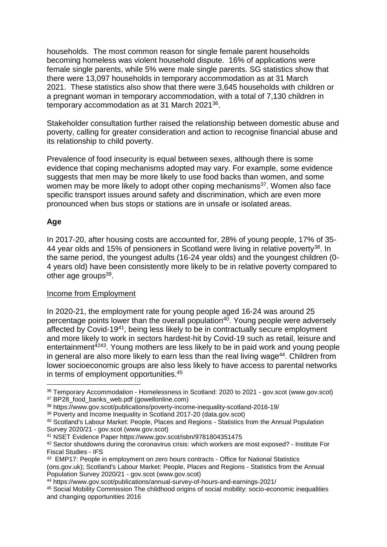households. The most common reason for single female parent households becoming homeless was violent household dispute. 16% of applications were female single parents, while 5% were male single parents. SG statistics show that there were 13,097 households in temporary accommodation as at 31 March 2021. These statistics also show that there were 3,645 households with children or a pregnant woman in temporary accommodation, with a total of 7,130 children in temporary accommodation as at 31 March 2021<sup>36</sup>.

Stakeholder consultation further raised the relationship between domestic abuse and poverty, calling for greater consideration and action to recognise financial abuse and its relationship to child poverty.

Prevalence of food insecurity is equal between sexes, although there is some evidence that coping mechanisms adopted may vary. For example, some evidence suggests that men may be more likely to use food backs than women, and some women may be more likely to adopt other coping mechanisms<sup>37</sup>. Women also face specific transport issues around safety and discrimination, which are even more pronounced when bus stops or stations are in unsafe or isolated areas.

#### **Age**

1

In 2017-20, after housing costs are accounted for, 28% of young people, 17% of 35- 44 year olds and 15% of pensioners in Scotland were living in relative poverty<sup>38</sup>. In the same period, the youngest adults (16-24 year olds) and the youngest children (0- 4 years old) have been consistently more likely to be in relative poverty compared to other age groups<sup>39</sup>.

#### Income from Employment

In 2020-21, the employment rate for young people aged 16-24 was around 25 percentage points lower than the overall population<sup>40</sup>. Young people were adversely affected by Covid-19<sup>41</sup>, being less likely to be in contractually secure employment and more likely to work in sectors hardest-hit by Covid-19 such as retail, leisure and entertainment<sup>4243</sup>. Young mothers are less likely to be in paid work and young people in general are also more likely to earn less than the real living wage<sup>44</sup>. Children from lower socioeconomic groups are also less likely to have access to parental networks in terms of employment opportunities.<sup>45</sup>

<sup>36</sup> Temporary Accommodation - [Homelessness in Scotland: 2020 to 2021 -](https://www.gov.scot/publications/homelessness-scotland-2020-2021/pages/5/) gov.scot (www.gov.scot) <sup>37</sup> BP28 food banks web.pdf (gowellonline.com)

<sup>38</sup> https://www.gov.scot/publications/poverty-income-inequality-scotland-2016-19/

<sup>39</sup> [Poverty and Income Inequality in Scotland 2017-20 \(data.gov.scot\)](https://data.gov.scot/poverty/#Age)

<sup>40</sup> [Scotland's Labour Market: People, Places and Regions -](https://www.gov.scot/publications/scotlands-labour-market-people-places-regions-statistics-annual-population-survey-2020-21/pages/7/) Statistics from the Annual Population Survey 2020/21 - [gov.scot \(www.gov.scot\)](https://www.gov.scot/publications/scotlands-labour-market-people-places-regions-statistics-annual-population-survey-2020-21/pages/7/)

<sup>41</sup> NSET Evidence Paper <https://www.gov.scot/isbn/9781804351475>

<sup>42</sup> [Sector shutdowns during the coronavirus crisis: which workers are most exposed? -](https://www.ifs.org.uk/publications/14791) Institute For [Fiscal Studies -](https://www.ifs.org.uk/publications/14791) IFS

<sup>43</sup> [EMP17: People in employment on zero hours contracts -](https://www.ons.gov.uk/employmentandlabourmarket/peopleinwork/employmentandemployeetypes/datasets/emp17peopleinemploymentonzerohourscontracts) Office for National Statistics [\(ons.gov.uk\);](https://www.ons.gov.uk/employmentandlabourmarket/peopleinwork/employmentandemployeetypes/datasets/emp17peopleinemploymentonzerohourscontracts) [Scotland's Labour Market: People, Places and Regions -](https://www.gov.scot/publications/scotlands-labour-market-people-places-regions-statistics-annual-population-survey-2020-21/pages/5/) Statistics from the Annual [Population Survey 2020/21 -](https://www.gov.scot/publications/scotlands-labour-market-people-places-regions-statistics-annual-population-survey-2020-21/pages/5/) gov.scot (www.gov.scot)

<sup>44</sup> https://www.gov.scot/publications/annual-survey-of-hours-and-earnings-2021/

<sup>45</sup> [Social Mobility Commission The childhood origins of social mobility: socio-economic inequalities](https://assets.publishing.service.gov.uk/government/uploads/system/uploads/attachment_data/file/528315/The_childhood_origins_of_social_mobility.pdf)  [and changing opportunities 2016](https://assets.publishing.service.gov.uk/government/uploads/system/uploads/attachment_data/file/528315/The_childhood_origins_of_social_mobility.pdf)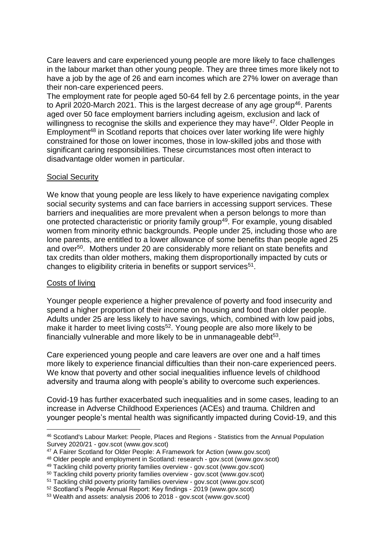Care leavers and care experienced young people are more likely to face challenges in the labour market than other young people. They are three times more likely not to have a job by the age of 26 and earn incomes which are 27% lower on average than their non-care experienced peers.

The employment rate for people aged 50-64 fell by 2.6 percentage points, in the year to April 2020-March 2021. This is the largest decrease of any age group<sup>46</sup>. Parents aged over 50 face employment barriers including ageism, exclusion and lack of willingness to recognise the skills and experience they may have<sup>47</sup>. Older People in Employment<sup>48</sup> in Scotland reports that choices over later working life were highly constrained for those on lower incomes, those in low-skilled jobs and those with significant caring responsibilities. These circumstances most often interact to disadvantage older women in particular.

#### Social Security

We know that young people are less likely to have experience navigating complex social security systems and can face barriers in accessing support services. These barriers and inequalities are more prevalent when a person belongs to more than one protected characteristic or priority family group<sup>49</sup>. For example, young disabled women from minority ethnic backgrounds. People under 25, including those who are lone parents, are entitled to a lower allowance of some benefits than people aged 25 and over<sup>50</sup>. Mothers under 20 are considerably more reliant on state benefits and tax credits than older mothers, making them disproportionally impacted by cuts or changes to eligibility criteria in benefits or support services<sup>51</sup>.

#### Costs of living

Younger people experience a higher prevalence of poverty and food insecurity and spend a higher proportion of their income on housing and food than older people. Adults under 25 are less likely to have savings, which, combined with low paid jobs, make it harder to meet living costs<sup>52</sup>. Young people are also more likely to be financially vulnerable and more likely to be in unmanageable debt $53$ .

Care experienced young people and care leavers are over one and a half times more likely to experience financial difficulties than their non-care experienced peers. We know that poverty and other social inequalities influence levels of childhood adversity and trauma along with people's ability to overcome such experiences.

Covid-19 has further exacerbated such inequalities and in some cases, leading to an increase in Adverse Childhood Experiences (ACEs) and trauma. Children and younger people's mental health was significantly impacted during Covid-19, and this

<sup>1</sup> <sup>46</sup> [Scotland's Labour Market: People, Places and Regions -](https://www.gov.scot/publications/scotlands-labour-market-people-places-regions-statistics-annual-population-survey-2020-21/pages/4/) Statistics from the Annual Population Survey 2020/21 - [gov.scot \(www.gov.scot\)](https://www.gov.scot/publications/scotlands-labour-market-people-places-regions-statistics-annual-population-survey-2020-21/pages/4/)

<sup>47</sup> [A Fairer Scotland for Older People: A Framework for Action \(www.gov.scot\)](https://www.gov.scot/binaries/content/documents/govscot/publications/strategy-plan/2019/04/fairer-scotland-older-people-framework-action/documents/fairer-scotland-older-people-framework-action/fairer-scotland-older-people-framework-action/govscot%3Adocument/fairer-scotland-older-people-framework-action.pdf)

<sup>48</sup> [Older people and employment in](https://www.gov.scot/publications/older-people-employment-scotland/) Scotland: research - gov.scot (www.gov.scot)

<sup>49</sup> [Tackling child poverty priority families overview -](https://www.gov.scot/publications/tackling-child-poverty-priority-families-overview/) gov.scot (www.gov.scot)

<sup>50</sup> [Tackling child poverty priority families overview -](https://www.gov.scot/publications/tackling-child-poverty-priority-families-overview/) gov.scot (www.gov.scot)

<sup>51</sup> [Tackling child poverty priority families overview -](https://www.gov.scot/publications/tackling-child-poverty-priority-families-overview/) gov.scot (www.gov.scot)

<sup>52</sup> [Scotland's People Annual Report: Key findings -](https://www.gov.scot/binaries/content/documents/govscot/publications/statistics/2020/09/scottish-household-survey-2019-key-findings/documents/scotlands-people-annual-report-key-findings-2019/scotlands-people-annual-report-key-findings-2019/govscot%3Adocument/scotlands-people-annual-report-key-findings-2019.pdf) 2019 (www.gov.scot)

<sup>53</sup> [Wealth and assets: analysis 2006 to 2018 -](https://www.gov.scot/publications/wealth-and-assets-in-scotland-2006-2018/) gov.scot (www.gov.scot)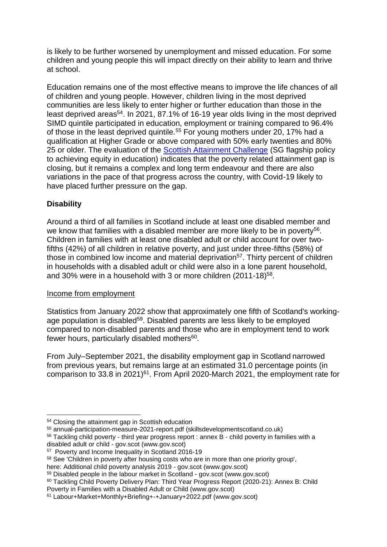is likely to be further worsened by unemployment and missed education. For some children and young people this will impact directly on their ability to learn and thrive at school.

Education remains one of the most effective means to improve the life chances of all of children and young people. However, children living in the most deprived communities are less likely to enter higher or further education than those in the least deprived areas<sup>54</sup>. In 2021, 87.1% of 16-19 year olds living in the most deprived SIMD quintile participated in education, employment or training compared to 96.4% of those in the least deprived quintile.<sup>55</sup> For young mothers under 20, 17% had a qualification at Higher Grade or above compared with 50% early twenties and 80% 25 or older. The evaluation of the **Scottish Attainment Challenge** (SG flagship policy to achieving equity in education) indicates that the poverty related attainment gap is closing, but it remains a complex and long term endeavour and there are also variations in the pace of that progress across the country, with Covid-19 likely to have placed further pressure on the gap.

#### **Disability**

1

Around a third of all families in Scotland include at least one disabled member and we know that families with a disabled member are more likely to be in poverty<sup>56</sup>. Children in families with at least one disabled adult or child account for over twofifths (42%) of all children in relative poverty, and just under three-fifths (58%) of those in combined low income and material deprivation<sup>57</sup>. Thirty percent of children in households with a disabled adult or child were also in a lone parent household, and 30% were in a household with 3 or more children  $(2011-18)^{58}$ .

#### Income from employment

Statistics from January 2022 show that approximately one fifth of Scotland's workingage population is disabled<sup>59</sup>. Disabled parents are less likely to be employed compared to non-disabled parents and those who are in employment tend to work fewer hours, particularly disabled mothers<sup>60</sup>.

From July–September 2021, the disability employment gap in Scotland narrowed from previous years, but remains large at an estimated 31.0 percentage points (in comparison to 33.8 in 2021) $61$ . From April 2020-March 2021, the employment rate for

<sup>54</sup> [Closing the attainment gap in Scottish education](https://www.jrf.org.uk/report/closing-attainment-gap-scottish-education)

<sup>55</sup> [annual-participation-measure-2021-report.pdf \(skillsdevelopmentscotland.co.uk\)](https://www.skillsdevelopmentscotland.co.uk/media/48147/annual-participation-measure-2021-report.pdf)

<sup>&</sup>lt;sup>56</sup> Tackling child poverty - [third year progress report : annex B -](https://www.gov.scot/publications/tackling-child-poverty-third-year-progress-report-annex-b-child-poverty-families-disabled-adult-child/pages/3/) child poverty in families with a disabled adult or child - [gov.scot \(www.gov.scot\)](https://www.gov.scot/publications/tackling-child-poverty-third-year-progress-report-annex-b-child-poverty-families-disabled-adult-child/pages/3/)

<sup>57</sup> [Poverty and Income Inequality in Scotland 2016-19](https://www.gov.scot/publications/poverty-income-inequality-scotland-2016-19/)

<sup>58</sup> See 'Children in poverty after housing costs who are in more than one priority group',

here: [Additional child poverty analysis 2019 -](https://www.gov.scot/publications/additional-child-poverty-statistics-2019/) gov.scot (www.gov.scot)

<sup>59</sup> [Disabled people in the labour market in Scotland -](https://www.gov.scot/publications/disabled-people-in-the-labour-market-in-scotland/) gov.scot (www.gov.scot)

<sup>60</sup> [Tackling Child Poverty Delivery Plan: Third Year Progress Report \(2020-21\): Annex B: Child](https://www.gov.scot/binaries/content/documents/govscot/publications/research-and-analysis/2021/07/tackling-child-poverty-third-year-progress-report-annex-b-child-poverty-families-disabled-adult-child/documents/tackling-child-poverty-delivery-plan-third-year-progress-report-2020-21-annex-b-child-poverty-families-disabled-adult-child/tackling-child-poverty-delivery-plan-third-year-progress-report-2020-21-annex-b-child-poverty-families-disabled-adult-child/govscot%3Adocument/tackling-child-poverty-delivery-plan-third-year-progress-report-2020-21-annex-b-child-poverty-families-disabled-adult-child.pdf)  [Poverty in Families with a Disabled Adult or Child \(www.gov.scot\)](https://www.gov.scot/binaries/content/documents/govscot/publications/research-and-analysis/2021/07/tackling-child-poverty-third-year-progress-report-annex-b-child-poverty-families-disabled-adult-child/documents/tackling-child-poverty-delivery-plan-third-year-progress-report-2020-21-annex-b-child-poverty-families-disabled-adult-child/tackling-child-poverty-delivery-plan-third-year-progress-report-2020-21-annex-b-child-poverty-families-disabled-adult-child/govscot%3Adocument/tackling-child-poverty-delivery-plan-third-year-progress-report-2020-21-annex-b-child-poverty-families-disabled-adult-child.pdf)

<sup>61</sup> [Labour+Market+Monthly+Briefing+-+January+2022.pdf \(www.gov.scot\)](https://www.gov.scot/binaries/content/documents/govscot/publications/statistics/2022/01/labour-market-monthly-briefing-january-2022/documents/labour-market-monthly-briefing-january-2022/labour-market-monthly-briefing-january-2022/govscot%3Adocument/Labour%2BMarket%2BMonthly%2BBriefing%2B-%2BJanuary%2B2022.pdf)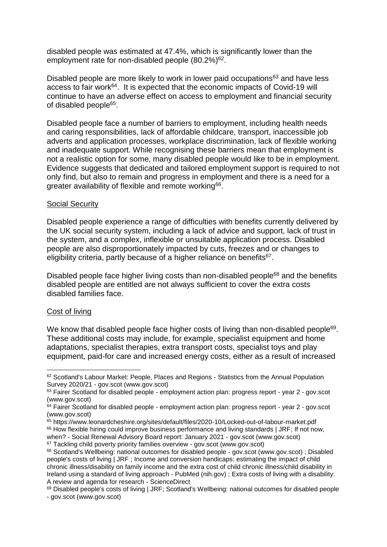disabled people was estimated at 47.4%, which is significantly lower than the employment rate for non-disabled people  $(80.2\%)$ <sup>62</sup>.

Disabled people are more likely to work in lower paid occupations<sup>63</sup> and have less access to fair work<sup>64</sup>. It is expected that the economic impacts of Covid-19 will continue to have an adverse effect on access to employment and financial security of disabled people<sup>65</sup>.

Disabled people face a number of barriers to employment, including health needs and caring responsibilities, lack of affordable childcare, transport, inaccessible job adverts and application processes, workplace discrimination, lack of flexible working and inadequate support. While recognising these barriers mean that employment is not a realistic option for some, many disabled people would like to be in employment. Evidence suggests that dedicated and tailored employment support is required to not only find, but also to remain and progress in employment and there is a need for a greater availability of flexible and remote working<sup>66</sup>.

#### Social Security

Disabled people experience a range of difficulties with benefits currently delivered by the UK social security system, including a lack of advice and support, lack of trust in the system, and a complex, inflexible or unsuitable application process. Disabled people are also disproportionately impacted by cuts, freezes and or changes to eligibility criteria, partly because of a higher reliance on benefits<sup>67</sup>.

Disabled people face higher living costs than non-disabled people<sup>68</sup> and the benefits disabled people are entitled are not always sufficient to cover the extra costs disabled families face.

#### Cost of living

 $\overline{a}$ 

We know that disabled people face higher costs of living than non-disabled people $69$ . These additional costs may include, for example, specialist equipment and home adaptations, specialist therapies, extra transport costs, specialist toys and play equipment, paid-for care and increased energy costs, either as a result of increased

<sup>65</sup> https://www.leonardcheshire.org/sites/default/files/2020-10/Locked-out-of-labour-market.pdf

<sup>66</sup> [How flexible hiring could improve business performance and living standards | JRF;](https://www.jrf.org.uk/report/how-flexible-hiring-could-improve-business-performance-and-living-standards) If not now, when? - [Social Renewal Advisory Board report: January 2021 -](https://www.gov.scot/publications/not-now-social-renewal-advisory-board-report-january-2021/documents/) gov.scot (www.gov.scot)

<sup>62</sup> [Scotland's Labour Market: People, Places and Regions -](https://www.gov.scot/publications/scotlands-labour-market-people-places-regions-statistics-annual-population-survey-2020-21/pages/11/) Statistics from the Annual Population Survey 2020/21 - [gov.scot \(www.gov.scot\)](https://www.gov.scot/publications/scotlands-labour-market-people-places-regions-statistics-annual-population-survey-2020-21/pages/11/)

<sup>&</sup>lt;sup>63</sup> Fairer Scotland for disabled people - [employment action plan: progress report -](https://www.gov.scot/publications/fairer-scotland-disabled-people-employment-action-plan-year-2-progress-report/pages/4/) year 2 - goy.scot [\(www.gov.scot\)](https://www.gov.scot/publications/fairer-scotland-disabled-people-employment-action-plan-year-2-progress-report/pages/4/)

 $64$  Fairer Scotland for disabled people - [employment action plan: progress report -](https://www.gov.scot/publications/fairer-scotland-disabled-people-employment-action-plan-year-2-progress-report/pages/4/) year 2 - gov.scot [\(www.gov.scot\)](https://www.gov.scot/publications/fairer-scotland-disabled-people-employment-action-plan-year-2-progress-report/pages/4/)

<sup>&</sup>lt;sup>67</sup> [Tackling child poverty priority families overview -](https://www.gov.scot/publications/tackling-child-poverty-priority-families-overview/) gov.scot (www.gov.scot)

<sup>68</sup> [Scotland's Wellbeing: national outcomes for disabled people -](https://www.gov.scot/publications/scotlands-wellbeing-measuring-national-outcomes-disabled-people/pages/13/) gov.scot (www.gov.scot) ; [Disabled](https://www.jrf.org.uk/report/disabled-peoples-costs-living)  [people's costs of living | JRF](https://www.jrf.org.uk/report/disabled-peoples-costs-living) ; [Income and conversion handicaps: estimating the impact of child](https://pubmed.ncbi.nlm.nih.gov/34499284/)  [chronic illness/disability on family income and the extra cost of child chronic illness/child disability in](https://pubmed.ncbi.nlm.nih.gov/34499284/)  [Ireland using a standard of living approach -](https://pubmed.ncbi.nlm.nih.gov/34499284/) PubMed (nih.gov) ; [Extra costs of living with a disability:](https://www.sciencedirect.com/science/article/pii/S193665741730078X?via%3Dihub)  [A review and agenda for research -](https://www.sciencedirect.com/science/article/pii/S193665741730078X?via%3Dihub) ScienceDirect

<sup>&</sup>lt;sup>69</sup> [Disabled people's costs of living | JRF;](https://www.jrf.org.uk/report/disabled-peoples-costs-living) Scotland's Wellbeing: national outcomes for disabled people - [gov.scot \(www.gov.scot\)](https://www.gov.scot/publications/scotlands-wellbeing-measuring-national-outcomes-disabled-people/pages/13/)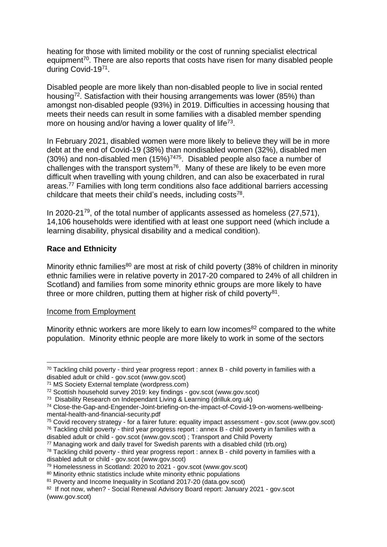heating for those with limited mobility or the cost of running specialist electrical equipment<sup>70</sup>. There are also reports that costs have risen for many disabled people during Covid-1971.

Disabled people are more likely than non-disabled people to live in social rented housing<sup>72</sup>. Satisfaction with their housing arrangements was lower (85%) than amongst non-disabled people (93%) in 2019. Difficulties in accessing housing that meets their needs can result in some families with a disabled member spending more on housing and/or having a lower quality of life<sup>73</sup>.

In February 2021, disabled women were more likely to believe they will be in more debt at the end of Covid-19 (38%) than nondisabled women (32%), disabled men  $(30%)$  and non-disabled men  $(15%)^{7475}$ . Disabled people also face a number of challenges with the transport system<sup>76</sup>. Many of these are likely to be even more difficult when travelling with young children, and can also be exacerbated in rural areas.<sup>77</sup> Families with long term conditions also face additional barriers accessing childcare that meets their child's needs, including costs<sup>78</sup>.

In 2020-21 $^{79}$ , of the total number of applicants assessed as homeless (27,571), 14,106 households were identified with at least one support need (which include a learning disability, physical disability and a medical condition).

#### **Race and Ethnicity**

Minority ethnic families<sup>80</sup> are most at risk of child poverty (38% of children in minority ethnic families were in relative poverty in 2017-20 compared to 24% of all children in Scotland) and families from some minority ethnic groups are more likely to have three or more children, putting them at higher risk of child poverty $81$ .

#### Income from Employment

1

Minority ethnic workers are more likely to earn low incomes<sup>82</sup> compared to the white population. Minority ethnic people are more likely to work in some of the sectors

 $70$  Tackling child poverty - [third year progress report : annex B -](https://www.gov.scot/publications/tackling-child-poverty-third-year-progress-report-annex-b-child-poverty-families-disabled-adult-child/pages/6/) child poverty in families with a disabled adult or child - [gov.scot \(www.gov.scot\)](https://www.gov.scot/publications/tackling-child-poverty-third-year-progress-report-annex-b-child-poverty-families-disabled-adult-child/pages/6/)

<sup>71</sup> [MS Society External template \(wordpress.com\)](https://disabilitybenefitsconsortium.files.wordpress.com/2021/02/pandemic-poverty-stark-choices-facing-disabled-people-on-legacy-benefits-final.pdf)

<sup>72</sup> [Scottish household survey 2019: key findings -](https://www.gov.scot/publications/scottish-household-survey-2019-key-findings/) gov.scot (www.gov.scot)

<sup>73</sup> [Disability Research on Independant Living & Learning \(drilluk.org.uk\)](http://www.drilluk.org.uk/pilot-projects/match-works-adapted-social-housing-lettings/)

<sup>74</sup> [Close-the-Gap-and-Engender-Joint-briefing-on-the-impact-of-Covid-19-on-womens-wellbeing](https://www.engender.org.uk/content/publications/Close-the-Gap-and-Engender-Joint-briefing-on-the-impact-of-COVID-19-on-womens-wellbeing-mental-health-and-financial-security.pdf)[mental-health-and-financial-security.pdf](https://www.engender.org.uk/content/publications/Close-the-Gap-and-Engender-Joint-briefing-on-the-impact-of-COVID-19-on-womens-wellbeing-mental-health-and-financial-security.pdf)

<sup>75</sup> Covid recovery strategy - [for a fairer future: equality impact assessment -](https://www.gov.scot/publications/covid-recovery-strategy-fairer-future-equality-impact-assessment-results/) gov.scot (www.gov.scot) <sup>76</sup> Tackling child poverty - [third year progress report : annex B -](https://www.gov.scot/publications/tackling-child-poverty-third-year-progress-report-annex-b-child-poverty-families-disabled-adult-child/pages/5/) child poverty in families with a

disabled adult or child - [gov.scot \(www.gov.scot\)](https://www.gov.scot/publications/tackling-child-poverty-third-year-progress-report-annex-b-child-poverty-families-disabled-adult-child/pages/5/) ; [Transport and Child Poverty](https://www.transport.gov.scot/publication/transport-and-child-poverty/)

<sup>77</sup> [Managing work and daily travel for Swedish parents with a disabled child \(trb.org\)](https://trid.trb.org/view/1875970)

 $78$  Tackling child poverty - [third year progress report : annex B -](https://www.gov.scot/publications/tackling-child-poverty-third-year-progress-report-annex-b-child-poverty-families-disabled-adult-child/pages/5/) child poverty in families with a disabled adult or child - [gov.scot \(www.gov.scot\)](https://www.gov.scot/publications/tackling-child-poverty-third-year-progress-report-annex-b-child-poverty-families-disabled-adult-child/pages/5/)

<sup>79</sup> [Homelessness in Scotland: 2020 to 2021 -](https://www.gov.scot/publications/homelessness-scotland-2020-2021/) gov.scot (www.gov.scot)

<sup>80</sup> Minority ethnic statistics include white minority ethnic populations

<sup>81</sup> [Poverty and Income Inequality in Scotland 2017-20 \(data.gov.scot\)](https://data.gov.scot/poverty/#Ethnicity)

<sup>82</sup> If not now, when? - [Social Renewal Advisory Board report: January 2021 -](https://www.gov.scot/publications/not-now-social-renewal-advisory-board-report-january-2021/) gov.scot [\(www.gov.scot\)](https://www.gov.scot/publications/not-now-social-renewal-advisory-board-report-january-2021/)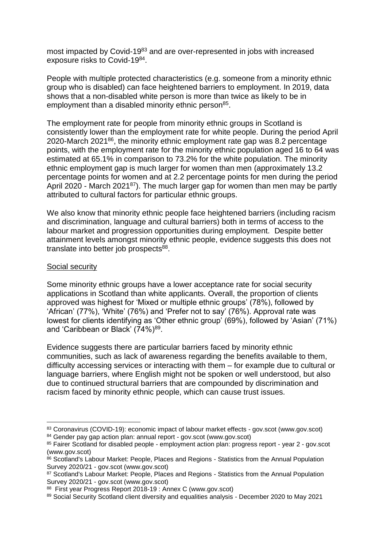most impacted by Covid-19<sup>83</sup> and are over-represented in jobs with increased exposure risks to Covid-1984.

People with multiple protected characteristics (e.g. someone from a minority ethnic group who is disabled) can face heightened barriers to employment. In 2019, data shows that a non-disabled white person is more than twice as likely to be in employment than a disabled minority ethnic person<sup>85</sup>.

The employment rate for people from minority ethnic groups in Scotland is consistently lower than the employment rate for white people. During the period April 2020-March 2021<sup>86</sup>, the minority ethnic employment rate gap was 8.2 percentage points, with the employment rate for the minority ethnic population aged 16 to 64 was estimated at 65.1% in comparison to 73.2% for the white population. The minority ethnic employment gap is much larger for women than men (approximately 13.2 percentage points for women and at 2.2 percentage points for men during the period April 2020 - March 2021<sup>87</sup>). The much larger gap for women than men may be partly attributed to cultural factors for particular ethnic groups.

We also know that minority ethnic people face heightened barriers (including racism and discrimination, language and cultural barriers) both in terms of access to the labour market and progression opportunities during employment. Despite better attainment levels amongst minority ethnic people, evidence suggests this does not translate into better job prospects<sup>88</sup>.

#### Social security

1

Some minority ethnic groups have a lower acceptance rate for social security applications in Scotland than white applicants. Overall, the proportion of clients approved was highest for 'Mixed or multiple ethnic groups' (78%), followed by 'African' (77%), 'White' (76%) and 'Prefer not to say' (76%). Approval rate was lowest for clients identifying as 'Other ethnic group' (69%), followed by 'Asian' (71%) and 'Caribbean or Black' (74%)<sup>89</sup>.

Evidence suggests there are particular barriers faced by minority ethnic communities, such as lack of awareness regarding the benefits available to them, difficulty accessing services or interacting with them – for example due to cultural or language barriers, where English might not be spoken or well understood, but also due to continued structural barriers that are compounded by discrimination and racism faced by minority ethnic people, which can cause trust issues.

<sup>83</sup> [Coronavirus \(COVID-19\): economic impact of labour market effects -](https://www.gov.scot/publications/economic-impact-of-coronavirus-led-labour-market-effects-on-individuals-and-households/) gov.scot (www.gov.scot)

<sup>&</sup>lt;sup>84</sup> [Gender pay gap action plan: annual report -](https://www.gov.scot/publications/gender-pay-gap-action-plan-annual-report/) gov.scot (www.gov.scot)

<sup>85</sup> Fairer Scotland for disabled people - [employment action plan: progress report -](https://www.gov.scot/publications/fairer-scotland-disabled-people-employment-action-plan-year-2-progress-report/pages/4/) year 2 - gov.scot [\(www.gov.scot\)](https://www.gov.scot/publications/fairer-scotland-disabled-people-employment-action-plan-year-2-progress-report/pages/4/)

<sup>86</sup> [Scotland's Labour Market: People, Places and Regions -](https://www.gov.scot/publications/scotlands-labour-market-people-places-regions-statistics-annual-population-survey-2020-21/pages/4/) Statistics from the Annual Population Survey 2020/21 - [gov.scot \(www.gov.scot\)](https://www.gov.scot/publications/scotlands-labour-market-people-places-regions-statistics-annual-population-survey-2020-21/pages/4/)

<sup>87</sup> [Scotland's Labour Market: People, Places and Regions -](https://www.gov.scot/publications/scotlands-labour-market-people-places-regions-statistics-annual-population-survey-2020-21/pages/1/) Statistics from the Annual Population Survey 2020/21 - [gov.scot \(www.gov.scot\)](https://www.gov.scot/publications/scotlands-labour-market-people-places-regions-statistics-annual-population-survey-2020-21/pages/1/)

<sup>88</sup> [First year Progress Report 2018-19 : Annex C \(www.gov.scot\)](https://www.gov.scot/binaries/content/documents/govscot/publications/research-and-analysis/2019/06/child-poverty-minority-ethnic-families-annex-c-tackling-child-poverty-delivery-plan-first-year-progress-report/documents/first-year-progress-report-2018-19-annex-c/first-year-progress-report-2018-19-annex-c/govscot%3Adocument/first-year-progress-report-2018-19-annex-c.pdf)

<sup>89</sup> [Social Security Scotland client diversity and equalities analysis -](https://www.gov.scot/publications/social-security-scotland-client-diversity-and-equalities-analysis-to-may-2021/) December 2020 to May 2021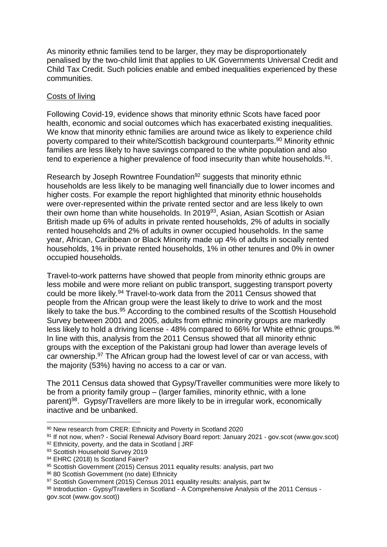As minority ethnic families tend to be larger, they may be disproportionately penalised by the two-child limit that applies to UK Governments Universal Credit and Child Tax Credit. Such policies enable and embed inequalities experienced by these communities.

#### Costs of living

Following Covid-19, evidence shows that minority ethnic Scots have faced poor health, economic and social outcomes which has exacerbated existing inequalities. We know that minority ethnic families are around twice as likely to experience child poverty compared to their white/Scottish background counterparts.<sup>90</sup> Minority ethnic families are less likely to have savings compared to the white population and also tend to experience a higher prevalence of food insecurity than white households.<sup>91</sup>.

Research by Joseph Rowntree Foundation<sup>92</sup> suggests that minority ethnic households are less likely to be managing well financially due to lower incomes and higher costs. For example the report highlighted that minority ethnic households were over-represented within the private rented sector and are less likely to own their own home than white households. In 2019<sup>93</sup>, Asian, Asian Scottish or Asian British made up 6% of adults in private rented households, 2% of adults in socially rented households and 2% of adults in owner occupied households. In the same year, African, Caribbean or Black Minority made up 4% of adults in socially rented households, 1% in private rented households, 1% in other tenures and 0% in owner occupied households.

Travel-to-work patterns have showed that people from minority ethnic groups are less mobile and were more reliant on public transport, suggesting transport poverty could be more likely.<sup>94</sup> Travel-to-work data from the 2011 Census showed that people from the African group were the least likely to drive to work and the most likely to take the bus.<sup>95</sup> According to the combined results of the Scottish Household Survey between 2001 and 2005, adults from ethnic minority groups are markedly less likely to hold a driving license -  $48\%$  compared to 66% for White ethnic groups. <sup>96</sup> In line with this, analysis from the 2011 Census showed that all minority ethnic groups with the exception of the Pakistani group had lower than average levels of car ownership.<sup>97</sup> The African group had the lowest level of car or van access, with the majority (53%) having no access to a car or van.

The 2011 Census data showed that Gypsy/Traveller communities were more likely to be from a priority family group – (larger families, minority ethnic, with a lone parent)<sup>98</sup>. Gypsy/Travellers are more likely to be in irregular work, economically inactive and be unbanked.

<sup>90</sup> [New research from CRER: Ethnicity and Poverty in Scotland 2020](https://www.crer.scot/post/new-research-from-crer-ethnicity-and-poverty-in-scotland-2020)

<sup>91</sup> If not now, when? - [Social Renewal Advisory Board report: January 2021 -](https://www.gov.scot/publications/not-now-social-renewal-advisory-board-report-january-2021/) gov.scot (www.gov.scot)

<sup>92</sup> [Ethnicity, poverty, and the data in Scotland | JRF](https://www.jrf.org.uk/report/ethnicity-poverty-and-data-scotland)

<sup>93</sup> [Scottish Household Survey 2019](https://www.gov.scot/publications/scottish-household-survey-2019-annual-report/)

<sup>94</sup> EHRC (2018) Is Scotland Fairer?

<sup>95</sup> Scottish Government (2015) Census 2011 equality results: analysis, part two

<sup>96</sup> 80 Scottish Government (no date) Ethnicity

<sup>&</sup>lt;sup>97</sup> Scottish Government (2015) Census 2011 equality results: analysis, part tw

<sup>98</sup> Introduction - Gypsy/Travellers in Scotland - [A Comprehensive Analysis of the 2011 Census](https://www.gov.scot/publications/gypsy-travellers-scotland-comprehensive-analysis-2011-census/pages/1/)  [gov.scot \(www.gov.scot\)\)](https://www.gov.scot/publications/gypsy-travellers-scotland-comprehensive-analysis-2011-census/pages/1/)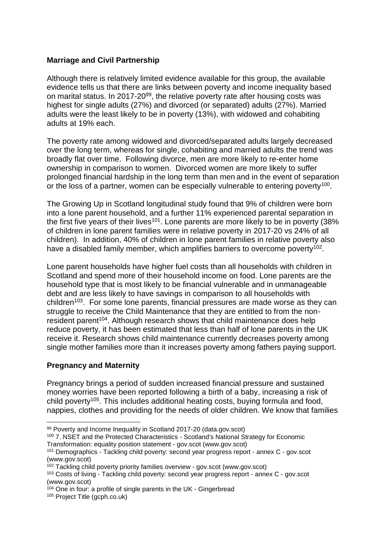#### **Marriage and Civil Partnership**

Although there is relatively limited evidence available for this group, the available evidence tells us that there are links between poverty and income inequality based on marital status. In 2017-20<sup>99</sup>, the relative poverty rate after housing costs was highest for single adults (27%) and divorced (or separated) adults (27%). Married adults were the least likely to be in poverty (13%), with widowed and cohabiting adults at 19% each.

The poverty rate among widowed and divorced/separated adults largely decreased over the long term, whereas for single, cohabiting and married adults the trend was broadly flat over time. Following divorce, men are more likely to re-enter home ownership in comparison to women. Divorced women are more likely to suffer prolonged financial hardship in the long term than men and in the event of separation or the loss of a partner, women can be especially vulnerable to entering poverty<sup>100</sup>.

The Growing Up in Scotland longitudinal study found that 9% of children were born into a lone parent household, and a further 11% experienced parental separation in the first five years of their lives<sup>101</sup>. Lone parents are more likely to be in poverty (38% of children in lone parent families were in relative poverty in 2017-20 vs 24% of all children). In addition, 40% of children in lone parent families in relative poverty also have a disabled family member, which amplifies barriers to overcome poverty<sup>102</sup>.

Lone parent households have higher fuel costs than all households with children in Scotland and spend more of their household income on food. Lone parents are the household type that is most likely to be financial vulnerable and in unmanageable debt and are less likely to have savings in comparison to all households with children<sup>103</sup>. For some lone parents, financial pressures are made worse as they can struggle to receive the Child Maintenance that they are entitled to from the nonresident parent<sup>104</sup>. Although research shows that child maintenance does help reduce poverty, it has been estimated that less than half of lone parents in the UK receive it. Research shows child maintenance currently decreases poverty among single mother families more than it increases poverty among fathers paying support.

#### **Pregnancy and Maternity**

Pregnancy brings a period of sudden increased financial pressure and sustained money worries have been reported following a birth of a baby, increasing a risk of child poverty<sup>105</sup>. This includes additional heating costs, buying formula and food, nappies, clothes and providing for the needs of older children. We know that families

 $104$  [One in four: a profile of single parents in the UK -](https://www.gingerbread.org.uk/policy-campaigns/publications-index/one-four-profile-single-parents-uk/) Gingerbread

<sup>105</sup> [Project Title \(gcph.co.uk\)](https://www.gcph.co.uk/assets/0000/7967/Exploring_the_Cost_of_the_Pregnancy_Pathway_report_Sept_2020.pdf)

<sup>99</sup> [Poverty and Income Inequality in Scotland 2017-20 \(data.gov.scot\)](https://data.gov.scot/poverty/#Marital_status)

<sup>&</sup>lt;sup>100</sup> [7. NSET and the Protected Characteristics -](https://www.gov.scot/publications/scotlands-national-strategy-economic-transformation-equality-position-statement/pages/7/) Scotland's National Strategy for Economic [Transformation: equality position](https://www.gov.scot/publications/scotlands-national-strategy-economic-transformation-equality-position-statement/pages/7/) statement - gov.scot (www.gov.scot)

<sup>101</sup> Demographics - [Tackling child poverty: second year progress report -](https://www.gov.scot/publications/tackling-child-poverty-delivery-plan-second-year-progress-report-2019-20-annex-c-child-poverty-lone-parent-families/pages/3/) annex C - gov.scot [\(www.gov.scot\)](https://www.gov.scot/publications/tackling-child-poverty-delivery-plan-second-year-progress-report-2019-20-annex-c-child-poverty-lone-parent-families/pages/3/)

<sup>102</sup> [Tackling child poverty priority families overview -](https://www.gov.scot/publications/tackling-child-poverty-priority-families-overview/) gov.scot (www.gov.scot)

<sup>103</sup> Costs of living - [Tackling child poverty: second year progress report -](https://www.gov.scot/publications/tackling-child-poverty-delivery-plan-second-year-progress-report-2019-20-annex-c-child-poverty-lone-parent-families/pages/6/) annex C - gov.scot [\(www.gov.scot\)](https://www.gov.scot/publications/tackling-child-poverty-delivery-plan-second-year-progress-report-2019-20-annex-c-child-poverty-lone-parent-families/pages/6/)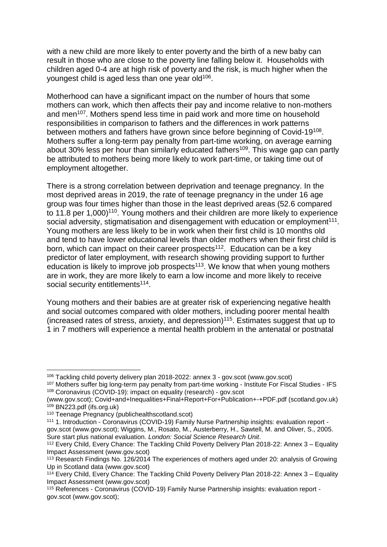with a new child are more likely to enter poverty and the birth of a new baby can result in those who are close to the poverty line falling below it. Households with children aged 0-4 are at high risk of poverty and the risk, is much higher when the youngest child is aged less than one year old<sup>106</sup>.

Motherhood can have a significant impact on the number of hours that some mothers can work, which then affects their pay and income relative to non-mothers and men<sup>107</sup>. Mothers spend less time in paid work and more time on household responsibilities in comparison to fathers and the differences in work patterns between mothers and fathers have grown since before beginning of Covid-19<sup>108</sup>. Mothers suffer a long-term pay penalty from part-time working, on average earning about 30% less per hour than similarly educated fathers<sup>109</sup>. This wage gap can partly be attributed to mothers being more likely to work part-time, or taking time out of employment altogether.

There is a strong correlation between deprivation and teenage pregnancy. In the most deprived areas in 2019, the rate of teenage pregnancy in the under 16 age group was four times higher than those in the least deprived areas (52.6 compared to 11.8 per 1,000)<sup>110</sup>. Young mothers and their children are more likely to experience social adversity, stigmatisation and disengagement with education or employment<sup>111</sup>. Young mothers are less likely to be in work when their first child is 10 months old and tend to have lower educational levels than older mothers when their first child is born, which can impact on their career prospects<sup>112</sup>. Education can be a key predictor of later employment, with research showing providing support to further education is likely to improve job prospects<sup>113</sup>. We know that when young mothers are in work, they are more likely to earn a low income and more likely to receive social security entitlements<sup>114</sup>.

Young mothers and their babies are at greater risk of experiencing negative health and social outcomes compared with older mothers, including poorer mental health (increased rates of stress, anxiety, and depression) $115$ . Estimates suggest that up to 1 in 7 mothers will experience a mental health problem in the antenatal or postnatal

 $\overline{a}$ 

<sup>106</sup> [Tackling child poverty delivery plan 2018-2022: annex 3 -](https://www.gov.scot/publications/tackling-child-poverty-delivery-plan-2018-22-annex-3-equality/) gov.scot (www.gov.scot)

<sup>107</sup> [Mothers suffer big long-term pay penalty from part-time working -](https://ifs.org.uk/publications/10364) Institute For Fiscal Studies - IFS <sup>108</sup> [Coronavirus \(COVID-19\): impact on equality \(research\) -](https://www.gov.scot/publications/the-impacts-of-covid-19-on-equality-in-scotland/) gov.scot

[<sup>\(</sup>www.gov.scot\);](https://www.gov.scot/publications/the-impacts-of-covid-19-on-equality-in-scotland/) Covid+and+Inequalities+Final+Report+For+Publication+-+PDF.pdf (scotland.gov.uk) <sup>109</sup> [BN223.pdf \(ifs.org.uk\)](https://ifs.org.uk/uploads/publications/bns/BN223.pdf)

<sup>110</sup> [Teenage Pregnancy \(publichealthscotland.scot\)](https://publichealthscotland.scot/media/8365/2021-07-06-teenpreg-report.pdf)

<sup>111</sup> 1. Introduction - [Coronavirus \(COVID-19\) Family Nurse Partnership insights: evaluation report](https://www.gov.scot/publications/family-nurse-partnership-insights-covid-19-evaluation-report/pages/3/)  [gov.scot \(www.gov.scot\);](https://www.gov.scot/publications/family-nurse-partnership-insights-covid-19-evaluation-report/pages/3/) Wiggins, M., Rosato, M., Austerberry, H., Sawtell, M. and Oliver, S., 2005. Sure start plus national evaluation. *London: Social Science Research Unit*.

<sup>112</sup> [Every Child, Every Chance: The Tackling Child Poverty Delivery Plan 2018-22: Annex 3 –](https://www.gov.scot/binaries/content/documents/govscot/publications/impact-assessment/2018/03/tackling-child-poverty-delivery-plan-2018-22-annex-3-equality/documents/00533633-pdf/00533633-pdf/govscot%3Adocument/00533633.pdf) Equality [Impact Assessment \(www.gov.scot\)](https://www.gov.scot/binaries/content/documents/govscot/publications/impact-assessment/2018/03/tackling-child-poverty-delivery-plan-2018-22-annex-3-equality/documents/00533633-pdf/00533633-pdf/govscot%3Adocument/00533633.pdf)

<sup>113</sup> [Research Findings No. 126/2014 The experiences of mothers aged under 20: analysis of Growing](https://www.gov.scot/binaries/content/documents/govscot/publications/research-and-analysis/2014/02/experiences-mothers-aged-under-20-analysis-growing-up-scotland-data-research-findings/documents/research-findings-126-2014-experiences-mothers-aged-under-20-analysis-growing-up-scotland-data/research-findings-126-2014-experiences-mothers-aged-under-20-analysis-growing-up-scotland-data/govscot:document/00443356.pdf)  [Up in Scotland data \(www.gov.scot\)](https://www.gov.scot/binaries/content/documents/govscot/publications/research-and-analysis/2014/02/experiences-mothers-aged-under-20-analysis-growing-up-scotland-data-research-findings/documents/research-findings-126-2014-experiences-mothers-aged-under-20-analysis-growing-up-scotland-data/research-findings-126-2014-experiences-mothers-aged-under-20-analysis-growing-up-scotland-data/govscot:document/00443356.pdf)

 $114$  [Every Child, Every Chance: The Tackling Child Poverty Delivery Plan 2018-22: Annex 3 –](https://www.gov.scot/binaries/content/documents/govscot/publications/impact-assessment/2018/03/tackling-child-poverty-delivery-plan-2018-22-annex-3-equality/documents/00533633-pdf/00533633-pdf/govscot%3Adocument/00533633.pdf) Equality [Impact Assessment \(www.gov.scot\)](https://www.gov.scot/binaries/content/documents/govscot/publications/impact-assessment/2018/03/tackling-child-poverty-delivery-plan-2018-22-annex-3-equality/documents/00533633-pdf/00533633-pdf/govscot%3Adocument/00533633.pdf)

<sup>115</sup> References - [Coronavirus \(COVID-19\) Family Nurse Partnership insights: evaluation report](https://www.gov.scot/publications/family-nurse-partnership-insights-covid-19-evaluation-report/pages/8/)  [gov.scot \(www.gov.scot\);](https://www.gov.scot/publications/family-nurse-partnership-insights-covid-19-evaluation-report/pages/8/)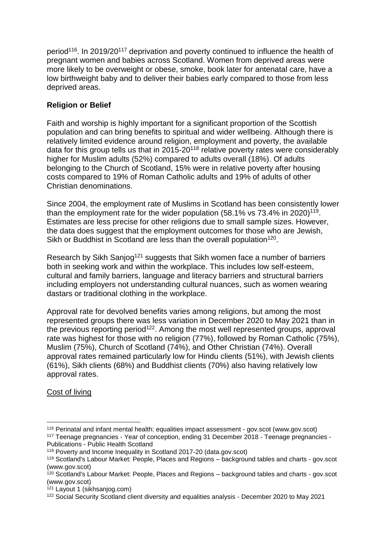period<sup>116</sup>. In 2019/20<sup>117</sup> deprivation and poverty continued to influence the health of pregnant women and babies across Scotland. Women from deprived areas were more likely to be overweight or obese, smoke, book later for antenatal care, have a low birthweight baby and to deliver their babies early compared to those from less deprived areas.

#### **Religion or Belief**

Faith and worship is highly important for a significant proportion of the Scottish population and can bring benefits to spiritual and wider wellbeing. Although there is relatively limited evidence around religion, employment and poverty, the available data for this group tells us that in 2015-20<sup>118</sup> relative poverty rates were considerably higher for Muslim adults (52%) compared to adults overall (18%). Of adults belonging to the Church of Scotland, 15% were in relative poverty after housing costs compared to 19% of Roman Catholic adults and 19% of adults of other Christian denominations.

Since 2004, the employment rate of Muslims in Scotland has been consistently lower than the employment rate for the wider population (58.1% vs 73.4% in 2020)<sup>119</sup>. Estimates are less precise for other religions due to small sample sizes. However, the data does suggest that the employment outcomes for those who are Jewish, Sikh or Buddhist in Scotland are less than the overall population<sup>120</sup>.

Research by Sikh Sanjog<sup>121</sup> suggests that Sikh women face a number of barriers both in seeking work and within the workplace. This includes low self-esteem, cultural and family barriers, language and literacy barriers and structural barriers including employers not understanding cultural nuances, such as women wearing dastars or traditional clothing in the workplace.

Approval rate for devolved benefits varies among religions, but among the most represented groups there was less variation in December 2020 to May 2021 than in the previous reporting period<sup>122</sup>. Among the most well represented groups, approval rate was highest for those with no religion (77%), followed by Roman Catholic (75%), Muslim (75%), Church of Scotland (74%), and Other Christian (74%). Overall approval rates remained particularly low for Hindu clients (51%), with Jewish clients (61%), Sikh clients (68%) and Buddhist clients (70%) also having relatively low approval rates.

#### Cost of living

<sup>116</sup> [Perinatal and infant mental health: equalities impact assessment -](https://www.gov.scot/publications/perinatal-infant-mental-health-eqia/) gov.scot (www.gov.scot) <sup>117</sup> Teenage pregnancies - [Year of conception, ending 31 December 2018 -](https://publichealthscotland.scot/publications/teenage-pregnancies/teenage-pregnancies-year-of-conception-ending-31-december-2018/) Teenage pregnancies - Publications - [Public Health Scotland](https://publichealthscotland.scot/publications/teenage-pregnancies/teenage-pregnancies-year-of-conception-ending-31-december-2018/)

<sup>118</sup> [Poverty and Income Inequality in Scotland 2017-20 \(data.gov.scot\)](https://data.gov.scot/poverty/#Religion)

<sup>119</sup> [Scotland's Labour Market: People, Places and Regions –](https://www.gov.scot/publications/scotlands-labour-market-people-places-and-regions-background-tables-and-charts/) background tables and charts - gov.scot [\(www.gov.scot\)](https://www.gov.scot/publications/scotlands-labour-market-people-places-and-regions-background-tables-and-charts/)

<sup>&</sup>lt;sup>120</sup> [Scotland's Labour Market: People, Places and Regions –](https://www.gov.scot/publications/scotlands-labour-market-people-places-and-regions-background-tables-and-charts/) background tables and charts - gov.scot [\(www.gov.scot\)](https://www.gov.scot/publications/scotlands-labour-market-people-places-and-regions-background-tables-and-charts/)

 $121$  [Layout 1 \(sikhsanjog.com\)](https://www.sikhsanjog.com/wp-content/uploads/2021/12/Sikh-Women-Speak-Report-PDF3375.pdf)

<sup>122</sup> [Social Security Scotland client diversity and equalities analysis -](https://www.gov.scot/publications/social-security-scotland-client-diversity-and-equalities-analysis-to-may-2021/) December 2020 to May 2021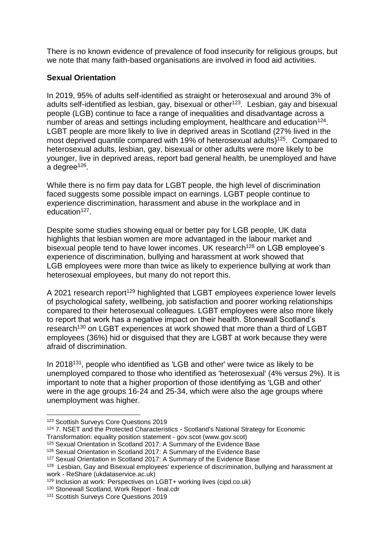There is no known evidence of prevalence of food insecurity for religious groups, but we note that many faith-based organisations are involved in food aid activities.

#### **Sexual Orientation**

In 2019, 95% of adults self-identified as straight or heterosexual and around 3% of adults self-identified as lesbian, gay, bisexual or other<sup>123</sup>. Lesbian, gay and bisexual people (LGB) continue to face a range of inequalities and disadvantage across a number of areas and settings including employment, healthcare and education<sup>124</sup>. LGBT people are more likely to live in deprived areas in Scotland (27% lived in the most deprived quantile compared with 19% of heterosexual adults)<sup>125</sup>. Compared to heterosexual adults, lesbian, gay, bisexual or other adults were more likely to be younger, live in deprived areas, report bad general health, be unemployed and have a degree<sup>126</sup>.

While there is no firm pay data for LGBT people, the high level of discrimination faced suggests some possible impact on earnings. LGBT people continue to experience discrimination, harassment and abuse in the workplace and in education<sup>127</sup>.

Despite some studies showing equal or better pay for LGB people, UK data highlights that lesbian women are more advantaged in the labour market and bisexual people tend to have lower incomes. UK research<sup>128</sup> on LGB employee's experience of discrimination, bullying and harassment at work showed that LGB employees were more than twice as likely to experience bullying at work than heterosexual employees, but many do not report this.

A 2021 research report<sup>129</sup> highlighted that LGBT employees experience lower levels of psychological safety, wellbeing, job satisfaction and poorer working relationships compared to their heterosexual colleagues. LGBT employees were also more likely to report that work has a negative impact on their health. Stonewall Scotland's research<sup>130</sup> on LGBT experiences at work showed that more than a third of LGBT employees (36%) hid or disguised that they are LGBT at work because they were afraid of discrimination.

In 2018<sup>131</sup>, people who identified as 'LGB and other' were twice as likely to be unemployed compared to those who identified as 'heterosexual' (4% versus 2%). It is important to note that a higher proportion of those identifying as 'LGB and other' were in the age groups 16-24 and 25-34, which were also the age groups where unemployment was higher.

<sup>1</sup> <sup>123</sup> [Scottish Surveys Core Questions 2019](https://www.gov.scot/publications/scottish-surveys-core-questions-2019/#:~:text=The%20Scottish%20Surveys%20Core%20Questions%20in%202019%20reports%20on%20the,caring%20and%20local%20government%20satisfaction.)

<sup>&</sup>lt;sup>124</sup> [7. NSET and the Protected Characteristics -](https://www.gov.scot/publications/scotlands-national-strategy-economic-transformation-equality-position-statement/pages/7/) Scotland's National Strategy for Economic [Transformation: equality position statement -](https://www.gov.scot/publications/scotlands-national-strategy-economic-transformation-equality-position-statement/pages/7/) gov.scot (www.gov.scot)

<sup>125</sup> [Sexual Orientation in Scotland 2017: A Summary of the Evidence Base](http://www.gov.scot/Publications/2017/01/4911/0)

<sup>126</sup> [Sexual Orientation in Scotland 2017: A Summary of the Evidence Base](http://www.gov.scot/Publications/2017/01/4911/0)

<sup>127</sup> [Sexual Orientation in Scotland 2017: A Summary of the Evidence Base](http://www.gov.scot/Publications/2017/01/4911/0)

<sup>128</sup> Lesbian, Gay [and Bisexual employees' experience of discrimination, bullying and harassment at](https://reshare.ukdataservice.ac.uk/851358/)  work - [ReShare \(ukdataservice.ac.uk\)](https://reshare.ukdataservice.ac.uk/851358/)

<sup>129</sup> [Inclusion at work: Perspectives on LGBT+ working lives \(cipd.co.uk\)](https://www.cipd.co.uk/Images/inclusion-work-perspectives-report_tcm18-90359.pdf)

<sup>130</sup> [Stonewall Scotland, Work Report -](https://www.stonewallscotland.org.uk/system/files/lgbt_in_scotland_work_report.pdf) final.cdr

<sup>131</sup> [Scottish Surveys Core Questions 2019](https://www.gov.scot/publications/scottish-surveys-core-questions-2019/#:~:text=The%20Scottish%20Surveys%20Core%20Questions%20in%202019%20reports%20on%20the,caring%20and%20local%20government%20satisfaction.)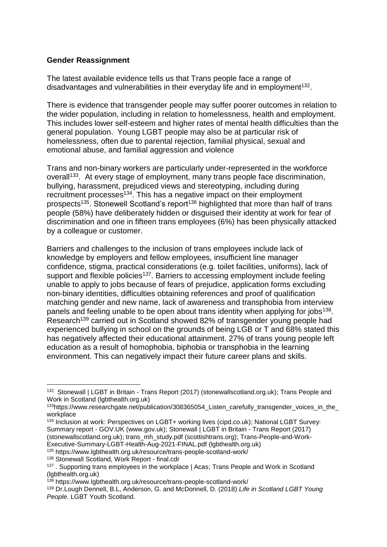#### **Gender Reassignment**

The latest available evidence tells us that Trans people face a range of disadvantages and vulnerabilities in their everyday life and in employment<sup>132</sup>.

There is evidence that transgender people may suffer poorer outcomes in relation to the wider population, including in relation to homelessness, health and employment. This includes lower self-esteem and higher rates of mental health difficulties than the general population. Young LGBT people may also be at particular risk of homelessness, often due to parental rejection, familial physical, sexual and emotional abuse, and familial aggression and violence

Trans and non-binary workers are particularly under-represented in the workforce overall<sup>133</sup>. At every stage of employment, many trans people face discrimination, bullying, harassment, prejudiced views and stereotyping, including during recruitment processes<sup>134</sup>. This has a negative impact on their employment prospects<sup>135</sup>. Stonewell Scotland's report<sup>136</sup> highlighted that more than half of trans people (58%) have deliberately hidden or disguised their identity at work for fear of discrimination and one in fifteen trans employees (6%) has been physically attacked by a colleague or customer.

Barriers and challenges to the inclusion of trans employees include lack of knowledge by employers and fellow employees, insufficient line manager confidence, stigma, practical considerations (e.g. toilet facilities, uniforms), lack of support and flexible policies<sup>137</sup>. Barriers to accessing employment include feeling unable to apply to jobs because of fears of prejudice, application forms excluding non-binary identities, difficulties obtaining references and proof of qualification matching gender and new name, lack of awareness and transphobia from interview panels and feeling unable to be open about trans identity when applying for jobs<sup>138</sup>. Research<sup>139</sup> carried out in Scotland showed 82% of transgender young people had experienced bullying in school on the grounds of being LGB or T and 68% stated this has negatively affected their educational attainment. 27% of trans young people left education as a result of homophobia, biphobia or transphobia in the learning environment. This can negatively impact their future career plans and skills.

<sup>1</sup> <sup>132</sup> Stonewall | LGBT in Britain - [Trans Report \(2017\) \(stonewallscotland.org.uk\);](https://www.stonewallscotland.org.uk/lgbt-britain-trans-report) [Trans People and](https://www.lgbthealth.org.uk/resource/trans-people-scotland-work/)  [Work in Scotland \(lgbthealth.org.uk\)](https://www.lgbthealth.org.uk/resource/trans-people-scotland-work/)

<sup>133</sup>https://www.researchgate.net/publication/308365054\_Listen\_carefully\_transgender\_voices\_in\_the\_ workplace

<sup>134</sup> [Inclusion at work: Perspectives on](https://www.cipd.co.uk/Images/inclusion-work-perspectives-report_tcm18-90359.pdf) LGBT+ working lives (cipd.co.uk); [National](https://www.gov.uk/government/publications/national-lgbt-survey-summary-report/national-lgbt-survey-summary-report#fn:16) LGBT Survey: Summary report - [GOV.UK \(www.gov.uk\);](https://www.gov.uk/government/publications/national-lgbt-survey-summary-report/national-lgbt-survey-summary-report#fn:16) Stonewall | LGBT in Britain - [Trans Report \(2017\)](https://www.stonewallscotland.org.uk/lgbt-britain-trans-report)  [\(stonewallscotland.org.uk\);](https://www.stonewallscotland.org.uk/lgbt-britain-trans-report) [trans\\_mh\\_study.pdf \(scottishtrans.org\);](https://www.scottishtrans.org/wp-content/uploads/2013/03/trans_mh_study.pdf) [Trans-People-and-Work-](https://www.lgbthealth.org.uk/wp-content/uploads/2021/08/Trans-People-and-Work-Executive-Summary-LGBT-Health-Aug-2021-FINAL.pdf)[Executive-Summary-LGBT-Health-Aug-2021-FINAL.pdf \(lgbthealth.org.uk\)](https://www.lgbthealth.org.uk/wp-content/uploads/2021/08/Trans-People-and-Work-Executive-Summary-LGBT-Health-Aug-2021-FINAL.pdf)

<sup>135</sup> https://www.lgbthealth.org.uk/resource/trans-people-scotland-work/

<sup>136</sup> [Stonewall Scotland, Work Report -](https://www.stonewallscotland.org.uk/system/files/lgbt_in_scotland_work_report.pdf) final.cdr

<sup>&</sup>lt;sup>137</sup>. [Supporting trans employees in the workplace | Acas;](https://www.acas.org.uk/supporting-trans-employees-in-the-workplace/html#6.-barriers,-challenges-and-suggestions-for-change) Trans People and Work in Scotland [\(lgbthealth.org.uk\)](https://www.lgbthealth.org.uk/resource/trans-people-scotland-work/)

<sup>138</sup> https://www.lgbthealth.org.uk/resource/trans-people-scotland-work/

<sup>139</sup> Dr.Lough Dennell, B.L, Anderson, G. and McDonnell, D. (2018) *Life in Scotland LGBT Young People*. LGBT Youth Scotland.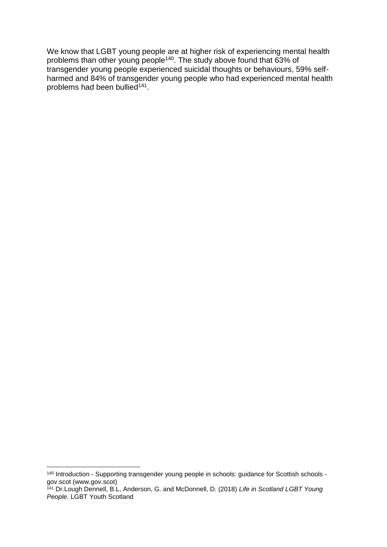We know that LGBT young people are at higher risk of experiencing mental health problems than other young people<sup>140</sup>. The study above found that 63% of transgender young people experienced suicidal thoughts or behaviours, 59% selfharmed and 84% of transgender young people who had experienced mental health problems had been bullied<sup>141</sup>.

<sup>140</sup> Introduction - [Supporting transgender young people in schools: guidance for Scottish schools](https://www.gov.scot/publications/supporting-transgender-young-people-schools-guidance-scottish-schools/pages/2/)  [gov.scot \(www.gov.scot\)](https://www.gov.scot/publications/supporting-transgender-young-people-schools-guidance-scottish-schools/pages/2/)

<sup>141</sup> Dr.Lough Dennell, B.L, Anderson, G. and McDonnell, D. (2018) *Life in Scotland LGBT Young People*. LGBT Youth Scotland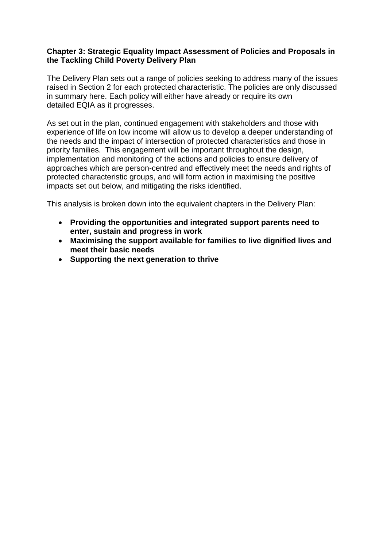#### **Chapter 3: Strategic Equality Impact Assessment of Policies and Proposals in the Tackling Child Poverty Delivery Plan**

The Delivery Plan sets out a range of policies seeking to address many of the issues raised in Section 2 for each protected characteristic. The policies are only discussed in summary here. Each policy will either have already or require its own detailed EQIA as it progresses.

As set out in the plan, continued engagement with stakeholders and those with experience of life on low income will allow us to develop a deeper understanding of the needs and the impact of intersection of protected characteristics and those in priority families. This engagement will be important throughout the design, implementation and monitoring of the actions and policies to ensure delivery of approaches which are person-centred and effectively meet the needs and rights of protected characteristic groups, and will form action in maximising the positive impacts set out below, and mitigating the risks identified.

This analysis is broken down into the equivalent chapters in the Delivery Plan:

- **Providing the opportunities and integrated support parents need to enter, sustain and progress in work**
- **Maximising the support available for families to live dignified lives and meet their basic needs**
- **Supporting the next generation to thrive**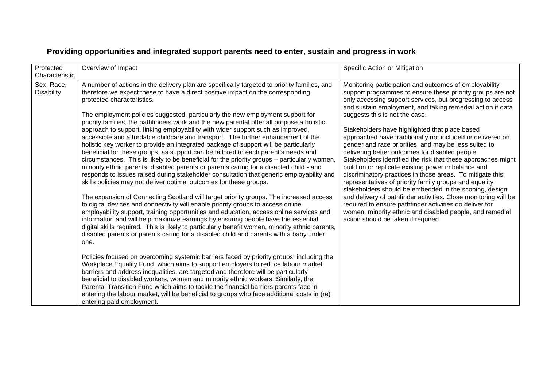| Protected<br>Characteristic     | Overview of Impact                                                                                                                                                                                                                                                                                                                                                                                                                                                                                                                                                                                                                                                                                                                                                                                                                                                                                                                                                                                                                                                                                                                                                                                                                                                                                                                                                                                                                                                                                                                                                                                                                                                                                                                                                                                                                                                                                                                                                                                                                                                                                                                                                                                                                                             | Specific Action or Mitigation                                                                                                                                                                                                                                                                                                                                                                                                                                                                                                                                                                                                                                                                                                                                                                                                                                                                                                                                                                                                                           |
|---------------------------------|----------------------------------------------------------------------------------------------------------------------------------------------------------------------------------------------------------------------------------------------------------------------------------------------------------------------------------------------------------------------------------------------------------------------------------------------------------------------------------------------------------------------------------------------------------------------------------------------------------------------------------------------------------------------------------------------------------------------------------------------------------------------------------------------------------------------------------------------------------------------------------------------------------------------------------------------------------------------------------------------------------------------------------------------------------------------------------------------------------------------------------------------------------------------------------------------------------------------------------------------------------------------------------------------------------------------------------------------------------------------------------------------------------------------------------------------------------------------------------------------------------------------------------------------------------------------------------------------------------------------------------------------------------------------------------------------------------------------------------------------------------------------------------------------------------------------------------------------------------------------------------------------------------------------------------------------------------------------------------------------------------------------------------------------------------------------------------------------------------------------------------------------------------------------------------------------------------------------------------------------------------------|---------------------------------------------------------------------------------------------------------------------------------------------------------------------------------------------------------------------------------------------------------------------------------------------------------------------------------------------------------------------------------------------------------------------------------------------------------------------------------------------------------------------------------------------------------------------------------------------------------------------------------------------------------------------------------------------------------------------------------------------------------------------------------------------------------------------------------------------------------------------------------------------------------------------------------------------------------------------------------------------------------------------------------------------------------|
| Sex, Race,<br><b>Disability</b> | A number of actions in the delivery plan are specifically targeted to priority families, and<br>therefore we expect these to have a direct positive impact on the corresponding<br>protected characteristics.<br>The employment policies suggested, particularly the new employment support for<br>priority families, the pathfinders work and the new parental offer all propose a holistic<br>approach to support, linking employability with wider support such as improved,<br>accessible and affordable childcare and transport. The further enhancement of the<br>holistic key worker to provide an integrated package of support will be particularly<br>beneficial for these groups, as support can be tailored to each parent's needs and<br>circumstances. This is likely to be beneficial for the priority groups - particularly women,<br>minority ethnic parents, disabled parents or parents caring for a disabled child - and<br>responds to issues raised during stakeholder consultation that generic employability and<br>skills policies may not deliver optimal outcomes for these groups.<br>The expansion of Connecting Scotland will target priority groups. The increased access<br>to digital devices and connectivity will enable priority groups to access online<br>employability support, training opportunities and education, access online services and<br>information and will help maximize earnings by ensuring people have the essential<br>digital skills required. This is likely to particularly benefit women, minority ethnic parents,<br>disabled parents or parents caring for a disabled child and parents with a baby under<br>one.<br>Policies focused on overcoming systemic barriers faced by priority groups, including the<br>Workplace Equality Fund, which aims to support employers to reduce labour market<br>barriers and address inequalities, are targeted and therefore will be particularly<br>beneficial to disabled workers, women and minority ethnic workers. Similarly, the<br>Parental Transition Fund which aims to tackle the financial barriers parents face in<br>entering the labour market, will be beneficial to groups who face additional costs in (re)<br>entering paid employment. | Monitoring participation and outcomes of employability<br>support programmes to ensure these priority groups are not<br>only accessing support services, but progressing to access<br>and sustain employment, and taking remedial action if data<br>suggests this is not the case.<br>Stakeholders have highlighted that place based<br>approached have traditionally not included or delivered on<br>gender and race priorities, and may be less suited to<br>delivering better outcomes for disabled people.<br>Stakeholders identified the risk that these approaches might<br>build on or replicate existing power imbalance and<br>discriminatory practices in those areas. To mitigate this,<br>representatives of priority family groups and equality<br>stakeholders should be embedded in the scoping, design<br>and delivery of pathfinder activities. Close monitoring will be<br>required to ensure pathfinder activities do deliver for<br>women, minority ethnic and disabled people, and remedial<br>action should be taken if required. |

## **Providing opportunities and integrated support parents need to enter, sustain and progress in work**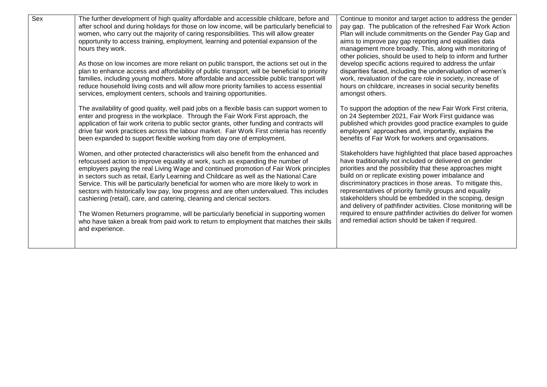| Sex | The further development of high quality affordable and accessible childcare, before and<br>after school and during holidays for those on low income, will be particularly beneficial to<br>women, who carry out the majority of caring responsibilities. This will allow greater<br>opportunity to access training, employment, learning and potential expansion of the<br>hours they work.<br>As those on low incomes are more reliant on public transport, the actions set out in the<br>plan to enhance access and affordability of public transport, will be beneficial to priority<br>families, including young mothers. More affordable and accessible public transport will<br>reduce household living costs and will allow more priority families to access essential<br>services, employment centers, schools and training opportunities.<br>The availability of good quality, well paid jobs on a flexible basis can support women to<br>enter and progress in the workplace. Through the Fair Work First approach, the<br>application of fair work criteria to public sector grants, other funding and contracts will<br>drive fair work practices across the labour market. Fair Work First criteria has recently<br>been expanded to support flexible working from day one of employment. | Continue to monitor and target action to address the gender<br>pay gap. The publication of the refreshed Fair Work Action<br>Plan will include commitments on the Gender Pay Gap and<br>aims to improve pay gap reporting and equalities data<br>management more broadly. This, along with monitoring of<br>other policies, should be used to help to inform and further<br>develop specific actions required to address the unfair<br>disparities faced, including the undervaluation of women's<br>work, revaluation of the care role in society, increase of<br>hours on childcare, increases in social security benefits<br>amongst others.<br>To support the adoption of the new Fair Work First criteria,<br>on 24 September 2021, Fair Work First guidance was<br>published which provides good practice examples to guide<br>employers' approaches and, importantly, explains the<br>benefits of Fair Work for workers and organisations. |
|-----|--------------------------------------------------------------------------------------------------------------------------------------------------------------------------------------------------------------------------------------------------------------------------------------------------------------------------------------------------------------------------------------------------------------------------------------------------------------------------------------------------------------------------------------------------------------------------------------------------------------------------------------------------------------------------------------------------------------------------------------------------------------------------------------------------------------------------------------------------------------------------------------------------------------------------------------------------------------------------------------------------------------------------------------------------------------------------------------------------------------------------------------------------------------------------------------------------------------------------------------------------------------------------------------------------------|---------------------------------------------------------------------------------------------------------------------------------------------------------------------------------------------------------------------------------------------------------------------------------------------------------------------------------------------------------------------------------------------------------------------------------------------------------------------------------------------------------------------------------------------------------------------------------------------------------------------------------------------------------------------------------------------------------------------------------------------------------------------------------------------------------------------------------------------------------------------------------------------------------------------------------------------------|
|     | Women, and other protected characteristics will also benefit from the enhanced and<br>refocussed action to improve equality at work, such as expanding the number of<br>employers paying the real Living Wage and continued promotion of Fair Work principles<br>in sectors such as retail, Early Learning and Childcare as well as the National Care<br>Service. This will be particularly beneficial for women who are more likely to work in<br>sectors with historically low pay, low progress and are often undervalued. This includes<br>cashiering (retail), care, and catering, cleaning and clerical sectors.<br>The Women Returners programme, will be particularly beneficial in supporting women<br>who have taken a break from paid work to return to employment that matches their skills<br>and experience.                                                                                                                                                                                                                                                                                                                                                                                                                                                                             | Stakeholders have highlighted that place based approaches<br>have traditionally not included or delivered on gender<br>priorities and the possibility that these approaches might<br>build on or replicate existing power imbalance and<br>discriminatory practices in those areas. To mitigate this,<br>representatives of priority family groups and equality<br>stakeholders should be embedded in the scoping, design<br>and delivery of pathfinder activities. Close monitoring will be<br>required to ensure pathfinder activities do deliver for women<br>and remedial action should be taken if required.                                                                                                                                                                                                                                                                                                                                 |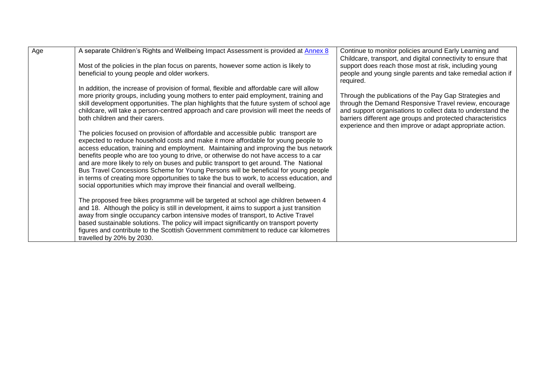| Age | A separate Children's Rights and Wellbeing Impact Assessment is provided at Annex 8                                                                                                                                                                                                                                                                                                                                                                                                                                                                                                                                                                                                                                     | Continue to monitor policies around Early Learning and<br>Childcare, transport, and digital connectivity to ensure that                                                                                                                                                                                    |
|-----|-------------------------------------------------------------------------------------------------------------------------------------------------------------------------------------------------------------------------------------------------------------------------------------------------------------------------------------------------------------------------------------------------------------------------------------------------------------------------------------------------------------------------------------------------------------------------------------------------------------------------------------------------------------------------------------------------------------------------|------------------------------------------------------------------------------------------------------------------------------------------------------------------------------------------------------------------------------------------------------------------------------------------------------------|
|     | Most of the policies in the plan focus on parents, however some action is likely to<br>beneficial to young people and older workers.                                                                                                                                                                                                                                                                                                                                                                                                                                                                                                                                                                                    | support does reach those most at risk, including young<br>people and young single parents and take remedial action if<br>required.                                                                                                                                                                         |
|     | In addition, the increase of provision of formal, flexible and affordable care will allow<br>more priority groups, including young mothers to enter paid employment, training and<br>skill development opportunities. The plan highlights that the future system of school age<br>childcare, will take a person-centred approach and care provision will meet the needs of<br>both children and their carers.                                                                                                                                                                                                                                                                                                           | Through the publications of the Pay Gap Strategies and<br>through the Demand Responsive Travel review, encourage<br>and support organisations to collect data to understand the<br>barriers different age groups and protected characteristics<br>experience and then improve or adapt appropriate action. |
|     | The policies focused on provision of affordable and accessible public transport are<br>expected to reduce household costs and make it more affordable for young people to<br>access education, training and employment. Maintaining and improving the bus network<br>benefits people who are too young to drive, or otherwise do not have access to a car<br>and are more likely to rely on buses and public transport to get around. The National<br>Bus Travel Concessions Scheme for Young Persons will be beneficial for young people<br>in terms of creating more opportunities to take the bus to work, to access education, and<br>social opportunities which may improve their financial and overall wellbeing. |                                                                                                                                                                                                                                                                                                            |
|     | The proposed free bikes programme will be targeted at school age children between 4<br>and 18. Although the policy is still in development, it aims to support a just transition<br>away from single occupancy carbon intensive modes of transport, to Active Travel<br>based sustainable solutions. The policy will impact significantly on transport poverty<br>figures and contribute to the Scottish Government commitment to reduce car kilometres<br>travelled by 20% by 2030.                                                                                                                                                                                                                                    |                                                                                                                                                                                                                                                                                                            |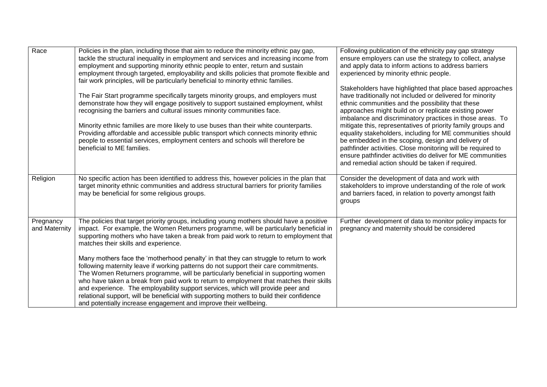| Race                       | Policies in the plan, including those that aim to reduce the minority ethnic pay gap,<br>tackle the structural inequality in employment and services and increasing income from<br>employment and supporting minority ethnic people to enter, return and sustain<br>employment through targeted, employability and skills policies that promote flexible and<br>fair work principles, will be particularly beneficial to minority ethnic families.                                                                                                                                                                 | Following publication of the ethnicity pay gap strategy<br>ensure employers can use the strategy to collect, analyse<br>and apply data to inform actions to address barriers<br>experienced by minority ethnic people.                                                                                                                                                                                                                                                                                                                                                                                                                                                 |
|----------------------------|--------------------------------------------------------------------------------------------------------------------------------------------------------------------------------------------------------------------------------------------------------------------------------------------------------------------------------------------------------------------------------------------------------------------------------------------------------------------------------------------------------------------------------------------------------------------------------------------------------------------|------------------------------------------------------------------------------------------------------------------------------------------------------------------------------------------------------------------------------------------------------------------------------------------------------------------------------------------------------------------------------------------------------------------------------------------------------------------------------------------------------------------------------------------------------------------------------------------------------------------------------------------------------------------------|
|                            | The Fair Start programme specifically targets minority groups, and employers must<br>demonstrate how they will engage positively to support sustained employment, whilst<br>recognising the barriers and cultural issues minority communities face.<br>Minority ethnic families are more likely to use buses than their white counterparts.<br>Providing affordable and accessible public transport which connects minority ethnic<br>people to essential services, employment centers and schools will therefore be<br>beneficial to ME families.                                                                 | Stakeholders have highlighted that place based approaches<br>have traditionally not included or delivered for minority<br>ethnic communities and the possibility that these<br>approaches might build on or replicate existing power<br>imbalance and discriminatory practices in those areas. To<br>mitigate this, representatives of priority family groups and<br>equality stakeholders, including for ME communities should<br>be embedded in the scoping, design and delivery of<br>pathfinder activities. Close monitoring will be required to<br>ensure pathfinder activities do deliver for ME communities<br>and remedial action should be taken if required. |
| Religion                   | No specific action has been identified to address this, however policies in the plan that<br>target minority ethnic communities and address structural barriers for priority families<br>may be beneficial for some religious groups.                                                                                                                                                                                                                                                                                                                                                                              | Consider the development of data and work with<br>stakeholders to improve understanding of the role of work<br>and barriers faced, in relation to poverty amongst faith<br>groups                                                                                                                                                                                                                                                                                                                                                                                                                                                                                      |
| Pregnancy<br>and Maternity | The policies that target priority groups, including young mothers should have a positive<br>impact. For example, the Women Returners programme, will be particularly beneficial in<br>supporting mothers who have taken a break from paid work to return to employment that<br>matches their skills and experience.                                                                                                                                                                                                                                                                                                | Further development of data to monitor policy impacts for<br>pregnancy and maternity should be considered                                                                                                                                                                                                                                                                                                                                                                                                                                                                                                                                                              |
|                            | Many mothers face the 'motherhood penalty' in that they can struggle to return to work<br>following maternity leave if working patterns do not support their care commitments.<br>The Women Returners programme, will be particularly beneficial in supporting women<br>who have taken a break from paid work to return to employment that matches their skills<br>and experience. The employability support services, which will provide peer and<br>relational support, will be beneficial with supporting mothers to build their confidence<br>and potentially increase engagement and improve their wellbeing. |                                                                                                                                                                                                                                                                                                                                                                                                                                                                                                                                                                                                                                                                        |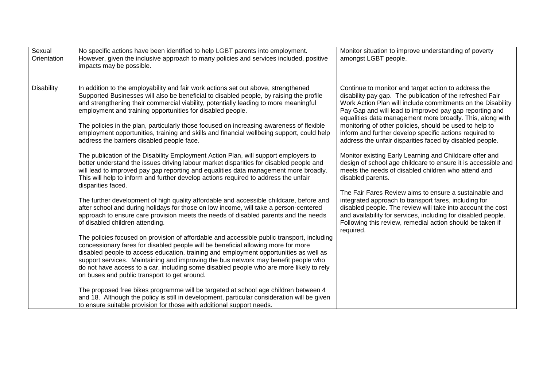| Sexual<br>Orientation | No specific actions have been identified to help LGBT parents into employment.<br>However, given the inclusive approach to many policies and services included, positive<br>impacts may be possible.                                                                                                                                                                                                                                                                                                                                                                       | Monitor situation to improve understanding of poverty<br>amongst LGBT people.                                                                                                                                                                                                                                                                                                                                                                                                              |
|-----------------------|----------------------------------------------------------------------------------------------------------------------------------------------------------------------------------------------------------------------------------------------------------------------------------------------------------------------------------------------------------------------------------------------------------------------------------------------------------------------------------------------------------------------------------------------------------------------------|--------------------------------------------------------------------------------------------------------------------------------------------------------------------------------------------------------------------------------------------------------------------------------------------------------------------------------------------------------------------------------------------------------------------------------------------------------------------------------------------|
| <b>Disability</b>     | In addition to the employability and fair work actions set out above, strengthened<br>Supported Businesses will also be beneficial to disabled people, by raising the profile<br>and strengthening their commercial viability, potentially leading to more meaningful<br>employment and training opportunities for disabled people.<br>The policies in the plan, particularly those focused on increasing awareness of flexible<br>employment opportunities, training and skills and financial wellbeing support, could help<br>address the barriers disabled people face. | Continue to monitor and target action to address the<br>disability pay gap. The publication of the refreshed Fair<br>Work Action Plan will include commitments on the Disability<br>Pay Gap and will lead to improved pay gap reporting and<br>equalities data management more broadly. This, along with<br>monitoring of other policies, should be used to help to<br>inform and further develop specific actions required to<br>address the unfair disparities faced by disabled people. |
|                       | The publication of the Disability Employment Action Plan, will support employers to<br>better understand the issues driving labour market disparities for disabled people and<br>will lead to improved pay gap reporting and equalities data management more broadly.<br>This will help to inform and further develop actions required to address the unfair<br>disparities faced.                                                                                                                                                                                         | Monitor existing Early Learning and Childcare offer and<br>design of school age childcare to ensure it is accessible and<br>meets the needs of disabled children who attend and<br>disabled parents.                                                                                                                                                                                                                                                                                       |
|                       | The further development of high quality affordable and accessible childcare, before and<br>after school and during holidays for those on low income, will take a person-centered<br>approach to ensure care provision meets the needs of disabled parents and the needs<br>of disabled children attending.                                                                                                                                                                                                                                                                 | The Fair Fares Review aims to ensure a sustainable and<br>integrated approach to transport fares, including for<br>disabled people. The review will take into account the cost<br>and availability for services, including for disabled people.<br>Following this review, remedial action should be taken if<br>required.                                                                                                                                                                  |
|                       | The policies focused on provision of affordable and accessible public transport, including<br>concessionary fares for disabled people will be beneficial allowing more for more<br>disabled people to access education, training and employment opportunities as well as<br>support services. Maintaining and improving the bus network may benefit people who<br>do not have access to a car, including some disabled people who are more likely to rely<br>on buses and public transport to get around.                                                                  |                                                                                                                                                                                                                                                                                                                                                                                                                                                                                            |
|                       | The proposed free bikes programme will be targeted at school age children between 4<br>and 18. Although the policy is still in development, particular consideration will be given<br>to ensure suitable provision for those with additional support needs.                                                                                                                                                                                                                                                                                                                |                                                                                                                                                                                                                                                                                                                                                                                                                                                                                            |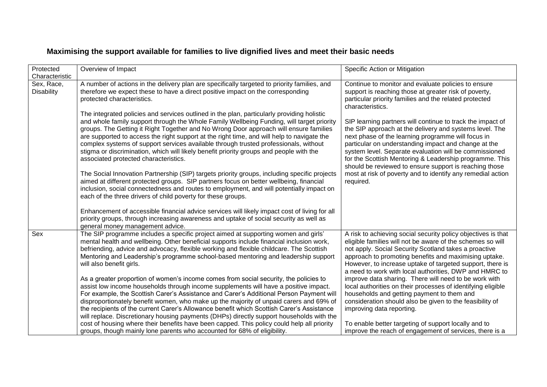| Protected                       | Overview of Impact                                                                                                                                                                                                                                                                                                                                                                                                                                                                                                                                                                                         | Specific Action or Mitigation                                                                                                                                                                                                                                                                                                                                                                                      |
|---------------------------------|------------------------------------------------------------------------------------------------------------------------------------------------------------------------------------------------------------------------------------------------------------------------------------------------------------------------------------------------------------------------------------------------------------------------------------------------------------------------------------------------------------------------------------------------------------------------------------------------------------|--------------------------------------------------------------------------------------------------------------------------------------------------------------------------------------------------------------------------------------------------------------------------------------------------------------------------------------------------------------------------------------------------------------------|
| Characteristic                  |                                                                                                                                                                                                                                                                                                                                                                                                                                                                                                                                                                                                            |                                                                                                                                                                                                                                                                                                                                                                                                                    |
| Sex, Race,<br><b>Disability</b> | A number of actions in the delivery plan are specifically targeted to priority families, and<br>therefore we expect these to have a direct positive impact on the corresponding<br>protected characteristics.                                                                                                                                                                                                                                                                                                                                                                                              | Continue to monitor and evaluate policies to ensure<br>support is reaching those at greater risk of poverty,<br>particular priority families and the related protected<br>characteristics.                                                                                                                                                                                                                         |
|                                 | The integrated policies and services outlined in the plan, particularly providing holistic<br>and whole family support through the Whole Family Wellbeing Funding, will target priority<br>groups. The Getting it Right Together and No Wrong Door approach will ensure families<br>are supported to access the right support at the right time, and will help to navigate the<br>complex systems of support services available through trusted professionals, without<br>stigma or discrimination, which will likely benefit priority groups and people with the<br>associated protected characteristics. | SIP learning partners will continue to track the impact of<br>the SIP approach at the delivery and systems level. The<br>next phase of the learning programme will focus in<br>particular on understanding impact and change at the<br>system level. Separate evaluation will be commissioned<br>for the Scottish Mentoring & Leadership programme. This<br>should be reviewed to ensure support is reaching those |
|                                 | The Social Innovation Partnership (SIP) targets priority groups, including specific projects<br>aimed at different protected groups. SIP partners focus on better wellbeing, financial<br>inclusion, social connectedness and routes to employment, and will potentially impact on<br>each of the three drivers of child poverty for these groups.<br>Enhancement of accessible financial advice services will likely impact cost of living for all<br>priority groups, through increasing awareness and uptake of social security as well as                                                              | most at risk of poverty and to identify any remedial action<br>required.                                                                                                                                                                                                                                                                                                                                           |
|                                 | general money management advice.                                                                                                                                                                                                                                                                                                                                                                                                                                                                                                                                                                           |                                                                                                                                                                                                                                                                                                                                                                                                                    |
| Sex                             | The SIP programme includes a specific project aimed at supporting women and girls'<br>mental health and wellbeing. Other beneficial supports include financial inclusion work,<br>befriending, advice and advocacy, flexible working and flexible childcare. The Scottish<br>Mentoring and Leadership's programme school-based mentoring and leadership support<br>will also benefit girls.                                                                                                                                                                                                                | A risk to achieving social security policy objectives is that<br>eligible families will not be aware of the schemes so will<br>not apply. Social Security Scotland takes a proactive<br>approach to promoting benefits and maximising uptake.<br>However, to increase uptake of targeted support, there is<br>a need to work with local authorities, DWP and HMRC to                                               |
|                                 | As a greater proportion of women's income comes from social security, the policies to<br>assist low income households through income supplements will have a positive impact.<br>For example, the Scottish Carer's Assistance and Carer's Additional Person Payment will                                                                                                                                                                                                                                                                                                                                   | improve data sharing. There will need to be work with<br>local authorities on their processes of identifying eligible<br>households and getting payment to them and                                                                                                                                                                                                                                                |
|                                 | disproportionately benefit women, who make up the majority of unpaid carers and 69% of<br>the recipients of the current Carer's Allowance benefit which Scottish Carer's Assistance                                                                                                                                                                                                                                                                                                                                                                                                                        | consideration should also be given to the feasibility of<br>improving data reporting.                                                                                                                                                                                                                                                                                                                              |
|                                 | will replace. Discretionary housing payments (DHPs) directly support households with the<br>cost of housing where their benefits have been capped. This policy could help all priority                                                                                                                                                                                                                                                                                                                                                                                                                     | To enable better targeting of support locally and to                                                                                                                                                                                                                                                                                                                                                               |
|                                 | groups, though mainly lone parents who accounted for 68% of eligibility.                                                                                                                                                                                                                                                                                                                                                                                                                                                                                                                                   | improve the reach of engagement of services, there is a                                                                                                                                                                                                                                                                                                                                                            |

### **Maximising the support available for families to live dignified lives and meet their basic needs**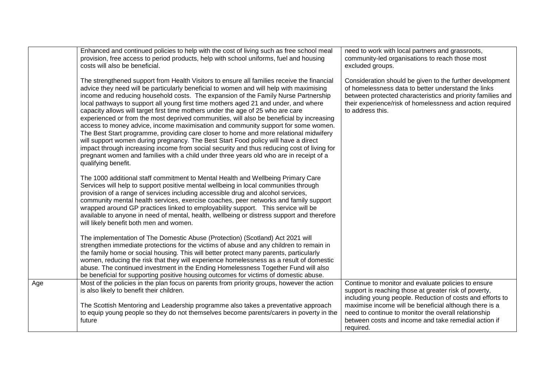|     | Enhanced and continued policies to help with the cost of living such as free school meal<br>provision, free access to period products, help with school uniforms, fuel and housing<br>costs will also be beneficial.                                                                                                                                                                                                                                                                                                                                                                                                                                                                                                                                                                                                                                                                                                                                                                                                                 | need to work with local partners and grassroots,<br>community-led organisations to reach those most<br>excluded groups.                                                                                                                                         |
|-----|--------------------------------------------------------------------------------------------------------------------------------------------------------------------------------------------------------------------------------------------------------------------------------------------------------------------------------------------------------------------------------------------------------------------------------------------------------------------------------------------------------------------------------------------------------------------------------------------------------------------------------------------------------------------------------------------------------------------------------------------------------------------------------------------------------------------------------------------------------------------------------------------------------------------------------------------------------------------------------------------------------------------------------------|-----------------------------------------------------------------------------------------------------------------------------------------------------------------------------------------------------------------------------------------------------------------|
|     | The strengthened support from Health Visitors to ensure all families receive the financial<br>advice they need will be particularly beneficial to women and will help with maximising<br>income and reducing household costs. The expansion of the Family Nurse Partnership<br>local pathways to support all young first time mothers aged 21 and under, and where<br>capacity allows will target first time mothers under the age of 25 who are care<br>experienced or from the most deprived communities, will also be beneficial by increasing<br>access to money advice, income maximisation and community support for some women.<br>The Best Start programme, providing care closer to home and more relational midwifery<br>will support women during pregnancy. The Best Start Food policy will have a direct<br>impact through increasing income from social security and thus reducing cost of living for<br>pregnant women and families with a child under three years old who are in receipt of a<br>qualifying benefit. | Consideration should be given to the further development<br>of homelessness data to better understand the links<br>between protected characteristics and priority families and<br>their experience/risk of homelessness and action required<br>to address this. |
|     | The 1000 additional staff commitment to Mental Health and Wellbeing Primary Care<br>Services will help to support positive mental wellbeing in local communities through<br>provision of a range of services including accessible drug and alcohol services,<br>community mental health services, exercise coaches, peer networks and family support<br>wrapped around GP practices linked to employability support. This service will be<br>available to anyone in need of mental, health, wellbeing or distress support and therefore<br>will likely benefit both men and women.                                                                                                                                                                                                                                                                                                                                                                                                                                                   |                                                                                                                                                                                                                                                                 |
|     | The implementation of The Domestic Abuse (Protection) (Scotland) Act 2021 will<br>strengthen immediate protections for the victims of abuse and any children to remain in<br>the family home or social housing. This will better protect many parents, particularly<br>women, reducing the risk that they will experience homelessness as a result of domestic<br>abuse. The continued investment in the Ending Homelessness Together Fund will also<br>be beneficial for supporting positive housing outcomes for victims of domestic abuse.                                                                                                                                                                                                                                                                                                                                                                                                                                                                                        |                                                                                                                                                                                                                                                                 |
| Age | Most of the policies in the plan focus on parents from priority groups, however the action<br>is also likely to benefit their children.                                                                                                                                                                                                                                                                                                                                                                                                                                                                                                                                                                                                                                                                                                                                                                                                                                                                                              | Continue to monitor and evaluate policies to ensure<br>support is reaching those at greater risk of poverty,<br>including young people. Reduction of costs and efforts to                                                                                       |
|     | The Scottish Mentoring and Leadership programme also takes a preventative approach<br>to equip young people so they do not themselves become parents/carers in poverty in the<br>future                                                                                                                                                                                                                                                                                                                                                                                                                                                                                                                                                                                                                                                                                                                                                                                                                                              | maximise income will be beneficial although there is a<br>need to continue to monitor the overall relationship<br>between costs and income and take remedial action if<br>required.                                                                             |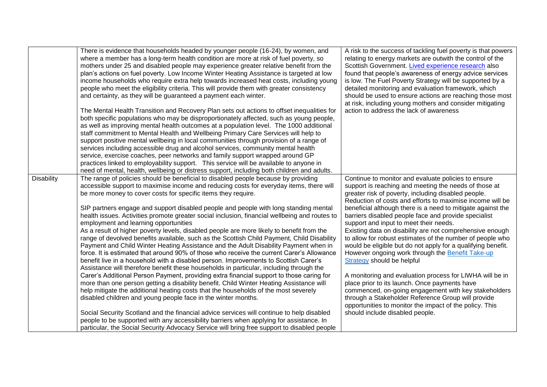|                   | There is evidence that households headed by younger people (16-24), by women, and<br>where a member has a long-term health condition are more at risk of fuel poverty, so<br>mothers under 25 and disabled people may experience greater relative benefit from the<br>plan's actions on fuel poverty. Low Income Winter Heating Assistance is targeted at low<br>income households who require extra help towards increased heat costs, including young<br>people who meet the eligibility criteria. This will provide them with greater consistency<br>and certainty, as they will be guaranteed a payment each winter.<br>The Mental Health Transition and Recovery Plan sets out actions to offset inequalities for<br>both specific populations who may be disproportionately affected, such as young people,<br>as well as improving mental health outcomes at a population level. The 1000 additional<br>staff commitment to Mental Health and Wellbeing Primary Care Services will help to<br>support positive mental wellbeing in local communities through provision of a range of<br>services including accessible drug and alcohol services, community mental health<br>service, exercise coaches, peer networks and family support wrapped around GP<br>practices linked to employability support. This service will be available to anyone in<br>need of mental, health, wellbeing or distress support, including both children and adults.                                                                                                                                                                                                                                  | A risk to the success of tackling fuel poverty is that powers<br>relating to energy markets are outwith the control of the<br>Scottish Government. Lived experience research also<br>found that people's awareness of energy advice services<br>is low. The Fuel Poverty Strategy will be supported by a<br>detailed monitoring and evaluation framework, which<br>should be used to ensure actions are reaching those most<br>at risk, including young mothers and consider mitigating<br>action to address the lack of awareness                                                                                                                                                                                                                                                                                                                                                                                                                                                                           |
|-------------------|-------------------------------------------------------------------------------------------------------------------------------------------------------------------------------------------------------------------------------------------------------------------------------------------------------------------------------------------------------------------------------------------------------------------------------------------------------------------------------------------------------------------------------------------------------------------------------------------------------------------------------------------------------------------------------------------------------------------------------------------------------------------------------------------------------------------------------------------------------------------------------------------------------------------------------------------------------------------------------------------------------------------------------------------------------------------------------------------------------------------------------------------------------------------------------------------------------------------------------------------------------------------------------------------------------------------------------------------------------------------------------------------------------------------------------------------------------------------------------------------------------------------------------------------------------------------------------------------------------------------------------------------------------------------------------------------|--------------------------------------------------------------------------------------------------------------------------------------------------------------------------------------------------------------------------------------------------------------------------------------------------------------------------------------------------------------------------------------------------------------------------------------------------------------------------------------------------------------------------------------------------------------------------------------------------------------------------------------------------------------------------------------------------------------------------------------------------------------------------------------------------------------------------------------------------------------------------------------------------------------------------------------------------------------------------------------------------------------|
| <b>Disability</b> | The range of policies should be beneficial to disabled people because by providing<br>accessible support to maximise income and reducing costs for everyday items, there will<br>be more money to cover costs for specific items they require.<br>SIP partners engage and support disabled people and people with long standing mental<br>health issues. Activities promote greater social inclusion, financial wellbeing and routes to<br>employment and learning opportunities<br>As a result of higher poverty levels, disabled people are more likely to benefit from the<br>range of devolved benefits available, such as the Scottish Child Payment, Child Disability<br>Payment and Child Winter Heating Assistance and the Adult Disability Payment when in<br>force. It is estimated that around 90% of those who receive the current Carer's Allowance<br>benefit live in a household with a disabled person. Improvements to Scottish Carer's<br>Assistance will therefore benefit these households in particular, including through the<br>Carer's Additional Person Payment, providing extra financial support to those caring for<br>more than one person getting a disability benefit. Child Winter Heating Assistance will<br>help mitigate the additional heating costs that the households of the most severely<br>disabled children and young people face in the winter months.<br>Social Security Scotland and the financial advice services will continue to help disabled<br>people to be supported with any accessibility barriers when applying for assistance. In<br>particular, the Social Security Advocacy Service will bring free support to disabled people | Continue to monitor and evaluate policies to ensure<br>support is reaching and meeting the needs of those at<br>greater risk of poverty, including disabled people.<br>Reduction of costs and efforts to maximise income will be<br>beneficial although there is a need to mitigate against the<br>barriers disabled people face and provide specialist<br>support and input to meet their needs.<br>Existing data on disability are not comprehensive enough<br>to allow for robust estimates of the number of people who<br>would be eligible but do not apply for a qualifying benefit.<br>However ongoing work through the Benefit Take-up<br><b>Strategy should be helpful</b><br>A monitoring and evaluation process for LIWHA will be in<br>place prior to its launch. Once payments have<br>commenced, on-going engagement with key stakeholders<br>through a Stakeholder Reference Group will provide<br>opportunities to monitor the impact of the policy. This<br>should include disabled people. |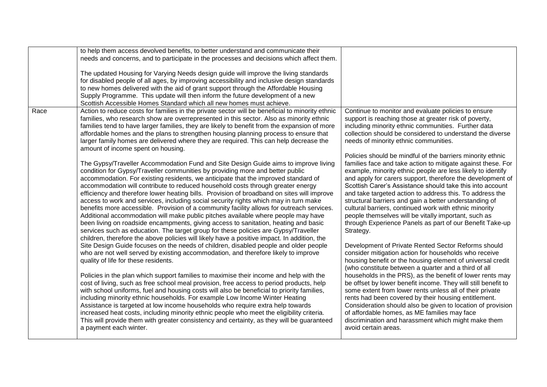|      | to help them access devolved benefits, to better understand and communicate their               |                                                               |
|------|-------------------------------------------------------------------------------------------------|---------------------------------------------------------------|
|      | needs and concerns, and to participate in the processes and decisions which affect them.        |                                                               |
|      |                                                                                                 |                                                               |
|      | The updated Housing for Varying Needs design guide will improve the living standards            |                                                               |
|      | for disabled people of all ages, by improving accessibility and inclusive design standards      |                                                               |
|      | to new homes delivered with the aid of grant support through the Affordable Housing             |                                                               |
|      | Supply Programme. This update will then inform the future development of a new                  |                                                               |
|      | Scottish Accessible Homes Standard which all new homes must achieve.                            |                                                               |
| Race | Action to reduce costs for families in the private sector will be beneficial to minority ethnic | Continue to monitor and evaluate policies to ensure           |
|      | families, who research show are overrepresented in this sector. Also as minority ethnic         | support is reaching those at greater risk of poverty,         |
|      | families tend to have larger families, they are likely to benefit from the expansion of more    | including minority ethnic communities. Further data           |
|      | affordable homes and the plans to strengthen housing planning process to ensure that            | collection should be considered to understand the diverse     |
|      |                                                                                                 |                                                               |
|      | larger family homes are delivered where they are required. This can help decrease the           | needs of minority ethnic communities.                         |
|      | amount of income spent on housing.                                                              |                                                               |
|      |                                                                                                 | Policies should be mindful of the barriers minority ethnic    |
|      | The Gypsy/Traveller Accommodation Fund and Site Design Guide aims to improve living             | families face and take action to mitigate against these. For  |
|      | condition for Gypsy/Traveller communities by providing more and better public                   | example, minority ethnic people are less likely to identify   |
|      | accommodation. For existing residents, we anticipate that the improved standard of              | and apply for carers support, therefore the development of    |
|      | accommodation will contribute to reduced household costs through greater energy                 | Scottish Carer's Assistance should take this into account     |
|      | efficiency and therefore lower heating bills. Provision of broadband on sites will improve      | and take targeted action to address this. To address the      |
|      | access to work and services, including social security rights which may in turn make            | structural barriers and gain a better understanding of        |
|      | benefits more accessible. Provision of a community facility allows for outreach services.       | cultural barriers, continued work with ethnic minority        |
|      | Additional accommodation will make public pitches available where people may have               | people themselves will be vitally important, such as          |
|      | been living on roadside encampments, giving access to sanitation, heating and basic             | through Experience Panels as part of our Benefit Take-up      |
|      | services such as education. The target group for these policies are Gypsy/Traveller             | Strategy.                                                     |
|      | children, therefore the above policies will likely have a positive impact. In addition, the     |                                                               |
|      | Site Design Guide focuses on the needs of children, disabled people and older people            | Development of Private Rented Sector Reforms should           |
|      | who are not well served by existing accommodation, and therefore likely to improve              | consider mitigation action for households who receive         |
|      | quality of life for these residents.                                                            | housing benefit or the housing element of universal credit    |
|      |                                                                                                 | (who constitute between a quarter and a third of all          |
|      | Policies in the plan which support families to maximise their income and help with the          | households in the PRS), as the benefit of lower rents may     |
|      | cost of living, such as free school meal provision, free access to period products, help        | be offset by lower benefit income. They will still benefit to |
|      | with school uniforms, fuel and housing costs will also be beneficial to priority families,      | some extent from lower rents unless all of their private      |
|      | including minority ethnic households. For example Low Income Winter Heating                     | rents had been covered by their housing entitlement.          |
|      | Assistance is targeted at low income households who require extra help towards                  | Consideration should also be given to location of provision   |
|      | increased heat costs, including minority ethnic people who meet the eligibility criteria.       | of affordable homes, as ME families may face                  |
|      | This will provide them with greater consistency and certainty, as they will be guaranteed       | discrimination and harassment which might make them           |
|      | a payment each winter.                                                                          | avoid certain areas.                                          |
|      |                                                                                                 |                                                               |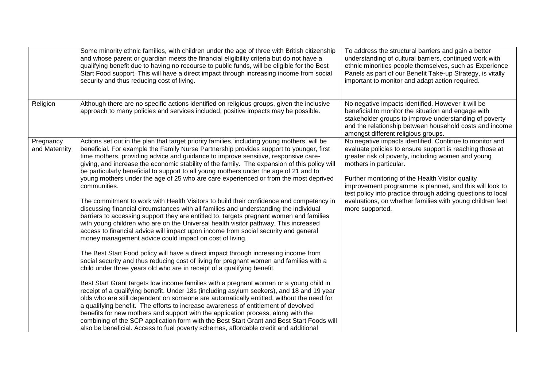|                            | Some minority ethnic families, with children under the age of three with British citizenship<br>and whose parent or guardian meets the financial eligibility criteria but do not have a<br>qualifying benefit due to having no recourse to public funds, will be eligible for the Best<br>Start Food support. This will have a direct impact through increasing income from social<br>security and thus reducing cost of living.                                                                                                                                                                                                                                                                                                                                                                                                                                                                                                                                                                                                                                                                                                                                                                                                                                                                                                                                                                                                                                                                                                                                                                                                                                                                                                                                                                                                                                                                                                                                                                                      | To address the structural barriers and gain a better<br>understanding of cultural barriers, continued work with<br>ethnic minorities people themselves, such as Experience<br>Panels as part of our Benefit Take-up Strategy, is vitally<br>important to monitor and adapt action required.                                                                                                                                                                       |
|----------------------------|-----------------------------------------------------------------------------------------------------------------------------------------------------------------------------------------------------------------------------------------------------------------------------------------------------------------------------------------------------------------------------------------------------------------------------------------------------------------------------------------------------------------------------------------------------------------------------------------------------------------------------------------------------------------------------------------------------------------------------------------------------------------------------------------------------------------------------------------------------------------------------------------------------------------------------------------------------------------------------------------------------------------------------------------------------------------------------------------------------------------------------------------------------------------------------------------------------------------------------------------------------------------------------------------------------------------------------------------------------------------------------------------------------------------------------------------------------------------------------------------------------------------------------------------------------------------------------------------------------------------------------------------------------------------------------------------------------------------------------------------------------------------------------------------------------------------------------------------------------------------------------------------------------------------------------------------------------------------------------------------------------------------------|-------------------------------------------------------------------------------------------------------------------------------------------------------------------------------------------------------------------------------------------------------------------------------------------------------------------------------------------------------------------------------------------------------------------------------------------------------------------|
| Religion                   | Although there are no specific actions identified on religious groups, given the inclusive<br>approach to many policies and services included, positive impacts may be possible.                                                                                                                                                                                                                                                                                                                                                                                                                                                                                                                                                                                                                                                                                                                                                                                                                                                                                                                                                                                                                                                                                                                                                                                                                                                                                                                                                                                                                                                                                                                                                                                                                                                                                                                                                                                                                                      | No negative impacts identified. However it will be<br>beneficial to monitor the situation and engage with<br>stakeholder groups to improve understanding of poverty<br>and the relationship between household costs and income<br>amongst different religious groups.                                                                                                                                                                                             |
| Pregnancy<br>and Maternity | Actions set out in the plan that target priority families, including young mothers, will be<br>beneficial. For example the Family Nurse Partnership provides support to younger, first<br>time mothers, providing advice and guidance to improve sensitive, responsive care-<br>giving, and increase the economic stability of the family. The expansion of this policy will<br>be particularly beneficial to support to all young mothers under the age of 21 and to<br>young mothers under the age of 25 who are care experienced or from the most deprived<br>communities.<br>The commitment to work with Health Visitors to build their confidence and competency in<br>discussing financial circumstances with all families and understanding the individual<br>barriers to accessing support they are entitled to, targets pregnant women and families<br>with young children who are on the Universal health visitor pathway. This increased<br>access to financial advice will impact upon income from social security and general<br>money management advice could impact on cost of living.<br>The Best Start Food policy will have a direct impact through increasing income from<br>social security and thus reducing cost of living for pregnant women and families with a<br>child under three years old who are in receipt of a qualifying benefit.<br>Best Start Grant targets low income families with a pregnant woman or a young child in<br>receipt of a qualifying benefit. Under 18s (including asylum seekers), and 18 and 19 year<br>olds who are still dependent on someone are automatically entitled, without the need for<br>a qualifying benefit. The efforts to increase awareness of entitlement of devolved<br>benefits for new mothers and support with the application process, along with the<br>combining of the SCP application form with the Best Start Grant and Best Start Foods will<br>also be beneficial. Access to fuel poverty schemes, affordable credit and additional | No negative impacts identified. Continue to monitor and<br>evaluate policies to ensure support is reaching those at<br>greater risk of poverty, including women and young<br>mothers in particular.<br>Further monitoring of the Health Visitor quality<br>improvement programme is planned, and this will look to<br>test policy into practice through adding questions to local<br>evaluations, on whether families with young children feel<br>more supported. |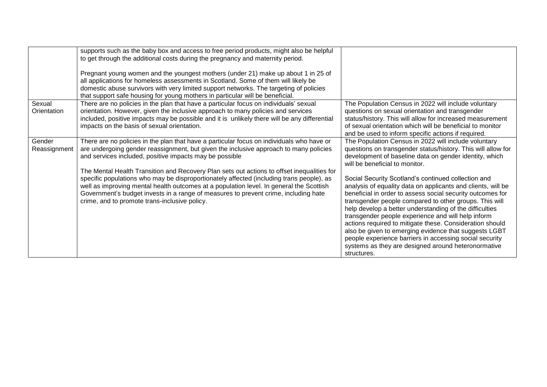|                        | supports such as the baby box and access to free period products, might also be helpful<br>to get through the additional costs during the pregnancy and maternity period.<br>Pregnant young women and the youngest mothers (under 21) make up about 1 in 25 of<br>all applications for homeless assessments in Scotland. Some of them will likely be<br>domestic abuse survivors with very limited support networks. The targeting of policies<br>that support safe housing for young mothers in particular will be beneficial. |                                                                                                                                                                                                                                                                                                                                                                                                                                                                                                                                                                                                                    |
|------------------------|---------------------------------------------------------------------------------------------------------------------------------------------------------------------------------------------------------------------------------------------------------------------------------------------------------------------------------------------------------------------------------------------------------------------------------------------------------------------------------------------------------------------------------|--------------------------------------------------------------------------------------------------------------------------------------------------------------------------------------------------------------------------------------------------------------------------------------------------------------------------------------------------------------------------------------------------------------------------------------------------------------------------------------------------------------------------------------------------------------------------------------------------------------------|
| Sexual<br>Orientation  | There are no policies in the plan that have a particular focus on individuals' sexual<br>orientation. However, given the inclusive approach to many policies and services<br>included, positive impacts may be possible and it is unlikely there will be any differential<br>impacts on the basis of sexual orientation.                                                                                                                                                                                                        | The Population Census in 2022 will include voluntary<br>questions on sexual orientation and transgender<br>status/history. This will allow for increased measurement<br>of sexual orientation which will be beneficial to monitor<br>and be used to inform specific actions if required.                                                                                                                                                                                                                                                                                                                           |
| Gender<br>Reassignment | There are no policies in the plan that have a particular focus on individuals who have or<br>are undergoing gender reassignment, but given the inclusive approach to many policies<br>and services included, positive impacts may be possible<br>The Mental Health Transition and Recovery Plan sets out actions to offset inequalities for                                                                                                                                                                                     | The Population Census in 2022 will include voluntary<br>questions on transgender status/history. This will allow for<br>development of baseline data on gender identity, which<br>will be beneficial to monitor.                                                                                                                                                                                                                                                                                                                                                                                                   |
|                        | specific populations who may be disproportionately affected (including trans people), as<br>well as improving mental health outcomes at a population level. In general the Scottish<br>Government's budget invests in a range of measures to prevent crime, including hate<br>crime, and to promote trans-inclusive policy.                                                                                                                                                                                                     | Social Security Scotland's continued collection and<br>analysis of equality data on applicants and clients, will be<br>beneficial in order to assess social security outcomes for<br>transgender people compared to other groups. This will<br>help develop a better understanding of the difficulties<br>transgender people experience and will help inform<br>actions required to mitigate these. Consideration should<br>also be given to emerging evidence that suggests LGBT<br>people experience barriers in accessing social security<br>systems as they are designed around heteronormative<br>structures. |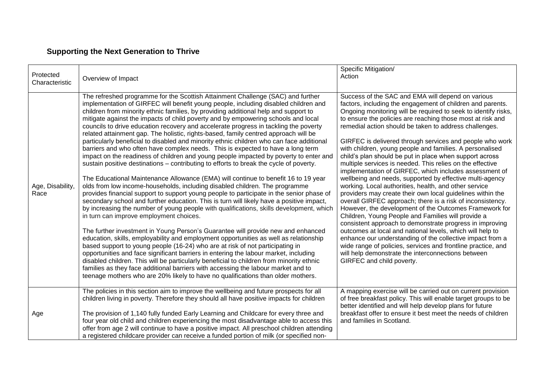### **Supporting the Next Generation to Thrive**

| Protected<br>Characteristic | Overview of Impact                                                                                                                                                                                                                                                                                                                                                                                                                                                                                                                                                                                                                                                                                                                                                                                                                                                                                                                                                                                                                                                                                                                                                                                                                                                                                                                                                                                                                                                                                                                                                                                                                                                                                                                                                                                                                                                                                                                                                                                                                | Specific Mitigation/<br>Action                                                                                                                                                                                                                                                                                                                                                                                                                                                                                                                                                                                                                                                                                                                                                                                                                                                                                                                                                                                                                                                                                                                                                                                                                                                                                                |
|-----------------------------|-----------------------------------------------------------------------------------------------------------------------------------------------------------------------------------------------------------------------------------------------------------------------------------------------------------------------------------------------------------------------------------------------------------------------------------------------------------------------------------------------------------------------------------------------------------------------------------------------------------------------------------------------------------------------------------------------------------------------------------------------------------------------------------------------------------------------------------------------------------------------------------------------------------------------------------------------------------------------------------------------------------------------------------------------------------------------------------------------------------------------------------------------------------------------------------------------------------------------------------------------------------------------------------------------------------------------------------------------------------------------------------------------------------------------------------------------------------------------------------------------------------------------------------------------------------------------------------------------------------------------------------------------------------------------------------------------------------------------------------------------------------------------------------------------------------------------------------------------------------------------------------------------------------------------------------------------------------------------------------------------------------------------------------|-------------------------------------------------------------------------------------------------------------------------------------------------------------------------------------------------------------------------------------------------------------------------------------------------------------------------------------------------------------------------------------------------------------------------------------------------------------------------------------------------------------------------------------------------------------------------------------------------------------------------------------------------------------------------------------------------------------------------------------------------------------------------------------------------------------------------------------------------------------------------------------------------------------------------------------------------------------------------------------------------------------------------------------------------------------------------------------------------------------------------------------------------------------------------------------------------------------------------------------------------------------------------------------------------------------------------------|
| Age, Disability,<br>Race    | The refreshed programme for the Scottish Attainment Challenge (SAC) and further<br>implementation of GIRFEC will benefit young people, including disabled children and<br>children from minority ethnic families, by providing additional help and support to<br>mitigate against the impacts of child poverty and by empowering schools and local<br>councils to drive education recovery and accelerate progress in tackling the poverty<br>related attainment gap. The holistic, rights-based, family centred approach will be<br>particularly beneficial to disabled and minority ethnic children who can face additional<br>barriers and who often have complex needs. This is expected to have a long term<br>impact on the readiness of children and young people impacted by poverty to enter and<br>sustain positive destinations - contributing to efforts to break the cycle of poverty.<br>The Educational Maintenance Allowance (EMA) will continue to benefit 16 to 19 year<br>olds from low income-households, including disabled children. The programme<br>provides financial support to support young people to participate in the senior phase of<br>secondary school and further education. This is turn will likely have a positive impact,<br>by increasing the number of young people with qualifications, skills development, which<br>in turn can improve employment choices.<br>The further investment in Young Person's Guarantee will provide new and enhanced<br>education, skills, employability and employment opportunities as well as relationship<br>based support to young people (16-24) who are at risk of not participating in<br>opportunities and face significant barriers in entering the labour market, including<br>disabled children. This will be particularly beneficial to children from minority ethnic<br>families as they face additional barriers with accessing the labour market and to<br>teenage mothers who are 20% likely to have no qualifications than older mothers. | Success of the SAC and EMA will depend on various<br>factors, including the engagement of children and parents.<br>Ongoing monitoring will be required to seek to identify risks,<br>to ensure the policies are reaching those most at risk and<br>remedial action should be taken to address challenges.<br>GIRFEC is delivered through services and people who work<br>with children, young people and families. A personalised<br>child's plan should be put in place when support across<br>multiple services is needed. This relies on the effective<br>implementation of GIRFEC, which includes assessment of<br>wellbeing and needs, supported by effective multi-agency<br>working. Local authorities, health, and other service<br>providers may create their own local guidelines within the<br>overall GIRFEC approach; there is a risk of inconsistency.<br>However, the development of the Outcomes Framework for<br>Children, Young People and Families will provide a<br>consistent approach to demonstrate progress in improving<br>outcomes at local and national levels, which will help to<br>enhance our understanding of the collective impact from a<br>wide range of policies, services and frontline practice, and<br>will help demonstrate the interconnections between<br>GIRFEC and child poverty. |
| Age                         | The policies in this section aim to improve the wellbeing and future prospects for all<br>children living in poverty. Therefore they should all have positive impacts for children<br>The provision of 1,140 fully funded Early Learning and Childcare for every three and<br>four year old child and children experiencing the most disadvantage able to access this<br>offer from age 2 will continue to have a positive impact. All preschool children attending<br>a registered childcare provider can receive a funded portion of milk (or specified non-                                                                                                                                                                                                                                                                                                                                                                                                                                                                                                                                                                                                                                                                                                                                                                                                                                                                                                                                                                                                                                                                                                                                                                                                                                                                                                                                                                                                                                                                    | A mapping exercise will be carried out on current provision<br>of free breakfast policy. This will enable target groups to be<br>better identified and will help develop plans for future<br>breakfast offer to ensure it best meet the needs of children<br>and families in Scotland.                                                                                                                                                                                                                                                                                                                                                                                                                                                                                                                                                                                                                                                                                                                                                                                                                                                                                                                                                                                                                                        |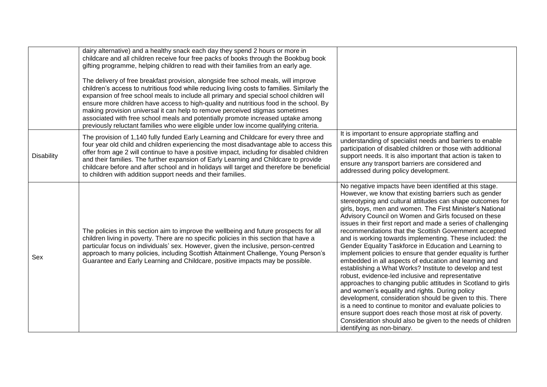|                   | dairy alternative) and a healthy snack each day they spend 2 hours or more in<br>childcare and all children receive four free packs of books through the Bookbug book<br>gifting programme, helping children to read with their families from an early age.<br>The delivery of free breakfast provision, alongside free school meals, will improve<br>children's access to nutritious food while reducing living costs to families. Similarly the<br>expansion of free school meals to include all primary and special school children will<br>ensure more children have access to high-quality and nutritious food in the school. By<br>making provision universal it can help to remove perceived stigmas sometimes<br>associated with free school meals and potentially promote increased uptake among<br>previously reluctant families who were eligible under low income qualifying criteria. |                                                                                                                                                                                                                                                                                                                                                                                                                                                                                                                                                                                                                                                                                                                                                                                                                                                                                                                                                                                                                                                                                                                                                                                                     |
|-------------------|----------------------------------------------------------------------------------------------------------------------------------------------------------------------------------------------------------------------------------------------------------------------------------------------------------------------------------------------------------------------------------------------------------------------------------------------------------------------------------------------------------------------------------------------------------------------------------------------------------------------------------------------------------------------------------------------------------------------------------------------------------------------------------------------------------------------------------------------------------------------------------------------------|-----------------------------------------------------------------------------------------------------------------------------------------------------------------------------------------------------------------------------------------------------------------------------------------------------------------------------------------------------------------------------------------------------------------------------------------------------------------------------------------------------------------------------------------------------------------------------------------------------------------------------------------------------------------------------------------------------------------------------------------------------------------------------------------------------------------------------------------------------------------------------------------------------------------------------------------------------------------------------------------------------------------------------------------------------------------------------------------------------------------------------------------------------------------------------------------------------|
| <b>Disability</b> | The provision of 1,140 fully funded Early Learning and Childcare for every three and<br>four year old child and children experiencing the most disadvantage able to access this<br>offer from age 2 will continue to have a positive impact, including for disabled children<br>and their families. The further expansion of Early Learning and Childcare to provide<br>childcare before and after school and in holidays will target and therefore be beneficial<br>to children with addition support needs and their families.                                                                                                                                                                                                                                                                                                                                                                   | It is important to ensure appropriate staffing and<br>understanding of specialist needs and barriers to enable<br>participation of disabled children or those with additional<br>support needs. It is also important that action is taken to<br>ensure any transport barriers are considered and<br>addressed during policy development.                                                                                                                                                                                                                                                                                                                                                                                                                                                                                                                                                                                                                                                                                                                                                                                                                                                            |
| Sex               | The policies in this section aim to improve the wellbeing and future prospects for all<br>children living in poverty. There are no specific policies in this section that have a<br>particular focus on individuals' sex. However, given the inclusive, person-centred<br>approach to many policies, including Scottish Attainment Challenge, Young Person's<br>Guarantee and Early Learning and Childcare, positive impacts may be possible.                                                                                                                                                                                                                                                                                                                                                                                                                                                      | No negative impacts have been identified at this stage.<br>However, we know that existing barriers such as gender<br>stereotyping and cultural attitudes can shape outcomes for<br>girls, boys, men and women. The First Minister's National<br>Advisory Council on Women and Girls focused on these<br>issues in their first report and made a series of challenging<br>recommendations that the Scottish Government accepted<br>and is working towards implementing. These included: the<br>Gender Equality Taskforce in Education and Learning to<br>implement policies to ensure that gender equality is further<br>embedded in all aspects of education and learning and<br>establishing a What Works? Institute to develop and test<br>robust, evidence-led inclusive and representative<br>approaches to changing public attitudes in Scotland to girls<br>and women's equality and rights. During policy<br>development, consideration should be given to this. There<br>is a need to continue to monitor and evaluate policies to<br>ensure support does reach those most at risk of poverty.<br>Consideration should also be given to the needs of children<br>identifying as non-binary. |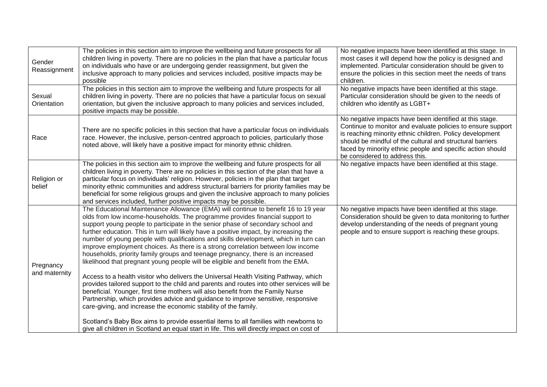| Gender<br>Reassignment     | The policies in this section aim to improve the wellbeing and future prospects for all<br>children living in poverty. There are no policies in the plan that have a particular focus<br>on individuals who have or are undergoing gender reassignment, but given the<br>inclusive approach to many policies and services included, positive impacts may be<br>possible<br>The policies in this section aim to improve the wellbeing and future prospects for all                                                                                                                                                                                                                                                                                                                                                                                                                                                                                                                                                                                                                                                                                                                                                                                                                                                      | No negative impacts have been identified at this stage. In<br>most cases it will depend how the policy is designed and<br>implemented. Particular consideration should be given to<br>ensure the policies in this section meet the needs of trans<br>children.<br>No negative impacts have been identified at this stage.                       |
|----------------------------|-----------------------------------------------------------------------------------------------------------------------------------------------------------------------------------------------------------------------------------------------------------------------------------------------------------------------------------------------------------------------------------------------------------------------------------------------------------------------------------------------------------------------------------------------------------------------------------------------------------------------------------------------------------------------------------------------------------------------------------------------------------------------------------------------------------------------------------------------------------------------------------------------------------------------------------------------------------------------------------------------------------------------------------------------------------------------------------------------------------------------------------------------------------------------------------------------------------------------------------------------------------------------------------------------------------------------|-------------------------------------------------------------------------------------------------------------------------------------------------------------------------------------------------------------------------------------------------------------------------------------------------------------------------------------------------|
| Sexual<br>Orientation      | children living in poverty. There are no policies that have a particular focus on sexual<br>orientation, but given the inclusive approach to many policies and services included,<br>positive impacts may be possible.                                                                                                                                                                                                                                                                                                                                                                                                                                                                                                                                                                                                                                                                                                                                                                                                                                                                                                                                                                                                                                                                                                | Particular consideration should be given to the needs of<br>children who identify as LGBT+                                                                                                                                                                                                                                                      |
| Race                       | There are no specific policies in this section that have a particular focus on individuals<br>race. However, the inclusive, person-centred approach to policies, particularly those<br>noted above, will likely have a positive impact for minority ethnic children.                                                                                                                                                                                                                                                                                                                                                                                                                                                                                                                                                                                                                                                                                                                                                                                                                                                                                                                                                                                                                                                  | No negative impacts have been identified at this stage.<br>Continue to monitor and evaluate policies to ensure support<br>is reaching minority ethnic children. Policy development<br>should be mindful of the cultural and structural barriers<br>faced by minority ethnic people and specific action should<br>be considered to address this. |
| Religion or<br>belief      | The policies in this section aim to improve the wellbeing and future prospects for all<br>children living in poverty. There are no policies in this section of the plan that have a<br>particular focus on individuals' religion. However, policies in the plan that target<br>minority ethnic communities and address structural barriers for priority families may be<br>beneficial for some religious groups and given the inclusive approach to many policies<br>and services included, further positive impacts may be possible.                                                                                                                                                                                                                                                                                                                                                                                                                                                                                                                                                                                                                                                                                                                                                                                 | No negative impacts have been identified at this stage.                                                                                                                                                                                                                                                                                         |
| Pregnancy<br>and maternity | The Educational Maintenance Allowance (EMA) will continue to benefit 16 to 19 year<br>olds from low income-households. The programme provides financial support to<br>support young people to participate in the senior phase of secondary school and<br>further education. This in turn will likely have a positive impact, by increasing the<br>number of young people with qualifications and skills development, which in turn can<br>improve employment choices. As there is a strong correlation between low income<br>households, priority family groups and teenage pregnancy, there is an increased<br>likelihood that pregnant young people will be eligible and benefit from the EMA.<br>Access to a health visitor who delivers the Universal Health Visiting Pathway, which<br>provides tailored support to the child and parents and routes into other services will be<br>beneficial. Younger, first time mothers will also benefit from the Family Nurse<br>Partnership, which provides advice and guidance to improve sensitive, responsive<br>care-giving, and increase the economic stability of the family.<br>Scotland's Baby Box aims to provide essential items to all families with newborns to<br>give all children in Scotland an equal start in life. This will directly impact on cost of | No negative impacts have been identified at this stage.<br>Consideration should be given to data monitoring to further<br>develop understanding of the needs of pregnant young<br>people and to ensure support is reaching these groups.                                                                                                        |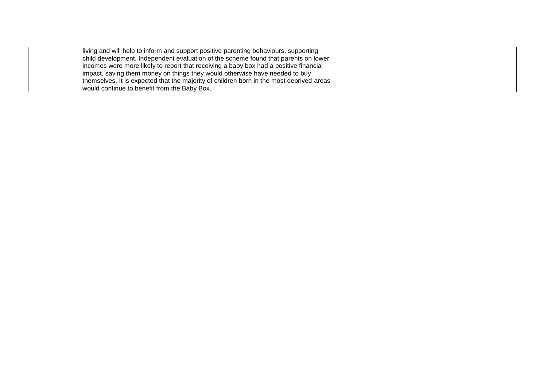| living and will help to inform and support positive parenting behaviours, supporting     |  |
|------------------------------------------------------------------------------------------|--|
| child development. Independent evaluation of the scheme found that parents on lower      |  |
| i incomes were more likely to report that receiving a baby box had a positive financial  |  |
| ' impact, saving them money on things they would otherwise have needed to buy            |  |
| themselves. It is expected that the majority of children born in the most deprived areas |  |
| would continue to benefit from the Baby Box.                                             |  |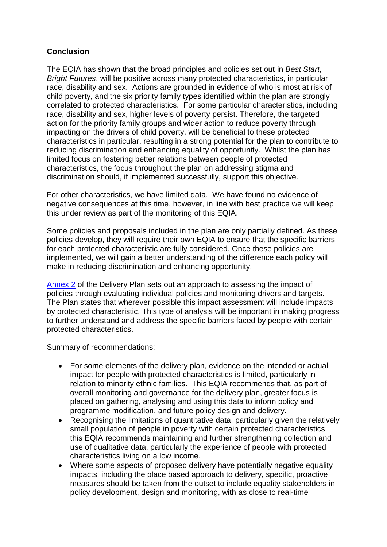#### **Conclusion**

The EQIA has shown that the broad principles and policies set out in *Best Start, Bright Futures*, will be positive across many protected characteristics, in particular race, disability and sex. Actions are grounded in evidence of who is most at risk of child poverty, and the six priority family types identified within the plan are strongly correlated to protected characteristics. For some particular characteristics, including race, disability and sex, higher levels of poverty persist. Therefore, the targeted action for the priority family groups and wider action to reduce poverty through impacting on the drivers of child poverty, will be beneficial to these protected characteristics in particular, resulting in a strong potential for the plan to contribute to reducing discrimination and enhancing equality of opportunity. Whilst the plan has limited focus on fostering better relations between people of protected characteristics, the focus throughout the plan on addressing stigma and discrimination should, if implemented successfully, support this objective.

For other characteristics, we have limited data. We have found no evidence of negative consequences at this time, however, in line with best practice we will keep this under review as part of the monitoring of this EQIA.

Some policies and proposals included in the plan are only partially defined. As these policies develop, they will require their own EQIA to ensure that the specific barriers for each protected characteristic are fully considered. Once these policies are implemented, we will gain a better understanding of the difference each policy will make in reducing discrimination and enhancing opportunity.

[Annex 2](https://www.gov.scot/isbn/9781804352618) of the Delivery Plan sets out an approach to assessing the impact of policies through evaluating individual policies and monitoring drivers and targets. The Plan states that wherever possible this impact assessment will include impacts by protected characteristic. This type of analysis will be important in making progress to further understand and address the specific barriers faced by people with certain protected characteristics.

Summary of recommendations:

- For some elements of the delivery plan, evidence on the intended or actual impact for people with protected characteristics is limited, particularly in relation to minority ethnic families. This EQIA recommends that, as part of overall monitoring and governance for the delivery plan, greater focus is placed on gathering, analysing and using this data to inform policy and programme modification, and future policy design and delivery.
- Recognising the limitations of quantitative data, particularly given the relatively small population of people in poverty with certain protected characteristics, this EQIA recommends maintaining and further strengthening collection and use of qualitative data, particularly the experience of people with protected characteristics living on a low income.
- Where some aspects of proposed delivery have potentially negative equality impacts, including the place based approach to delivery, specific, proactive measures should be taken from the outset to include equality stakeholders in policy development, design and monitoring, with as close to real-time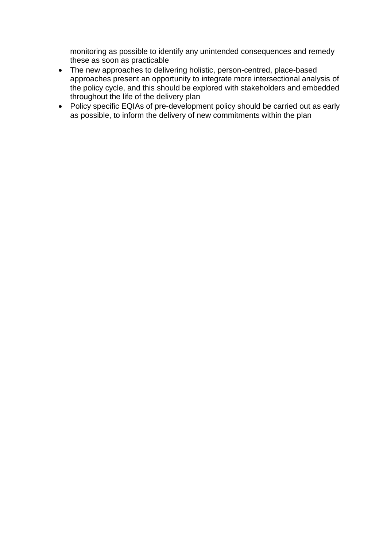monitoring as possible to identify any unintended consequences and remedy these as soon as practicable

- The new approaches to delivering holistic, person-centred, place-based approaches present an opportunity to integrate more intersectional analysis of the policy cycle, and this should be explored with stakeholders and embedded throughout the life of the delivery plan
- Policy specific EQIAs of pre-development policy should be carried out as early as possible, to inform the delivery of new commitments within the plan